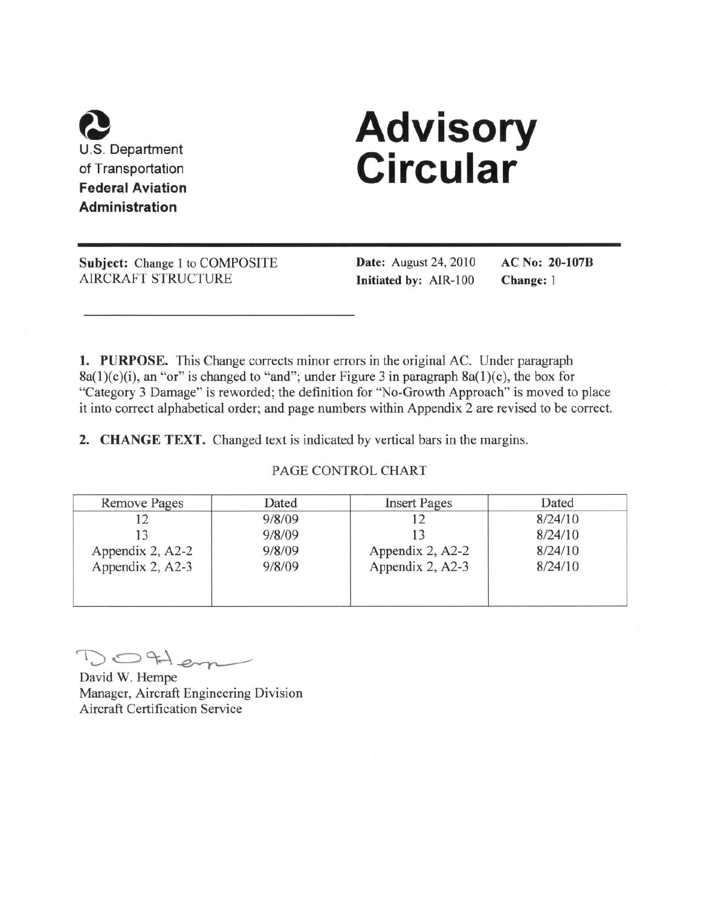

# **Advisory<br>Circular**

Subject: Change 1 to COMPOSITE **AIRCRAFT STRUCTURE** 

**Date:** August 24, 2010 Initiated by: AIR-100

**AC No: 20-107B** Change: 1

1. PURPOSE. This Change corrects minor errors in the original AC. Under paragraph  $8a(1)(c)(i)$ , an "or" is changed to "and"; under Figure 3 in paragraph  $8a(1)(c)$ , the box for "Category 3 Damage" is reworded; the definition for "No-Growth Approach" is moved to place it into correct alphabetical order; and page numbers within Appendix 2 are revised to be correct.

2. CHANGE TEXT. Changed text is indicated by vertical bars in the margins.

#### PAGE CONTROL CHART

| Remove Pages     | Dated  | <b>Insert Pages</b> | Dated   |
|------------------|--------|---------------------|---------|
|                  | 9/8/09 |                     | 8/24/10 |
|                  | 9/8/09 |                     | 8/24/10 |
| Appendix 2, A2-2 | 9/8/09 | Appendix 2, A2-2    | 8/24/10 |
| Appendix 2, A2-3 | 9/8/09 | Appendix 2, A2-3    | 8/24/10 |
|                  |        |                     |         |
|                  |        |                     |         |

OHem

David W. Hempe Manager, Aircraft Engineering Division **Aircraft Certification Service**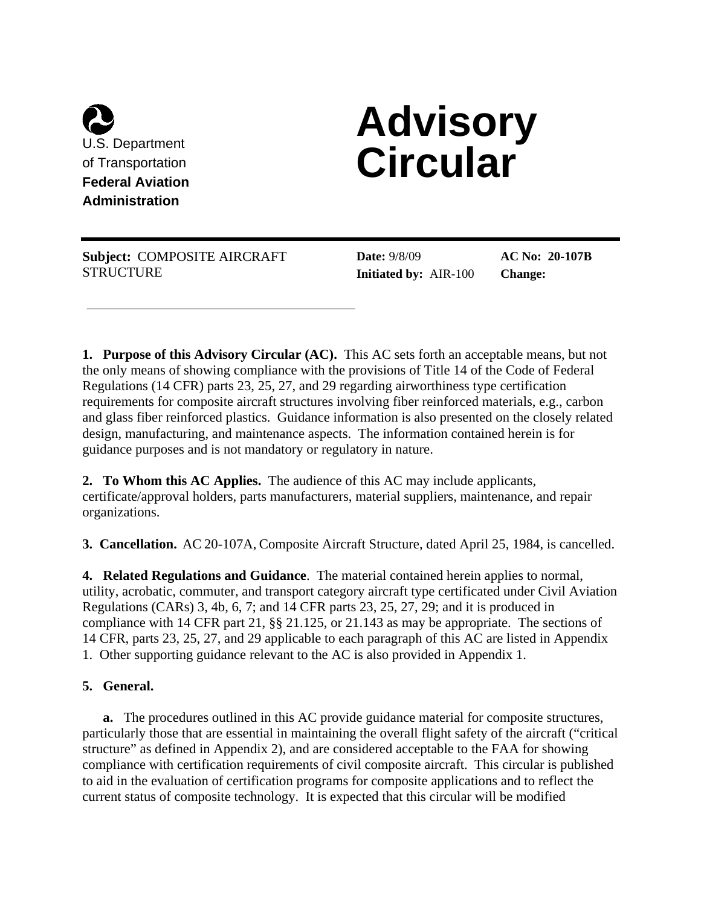

# **Advisory Circular**

**Subject:** COMPOSITE AIRCRAFT **STRUCTURE** 

**Date:** 9/8/09 **Initiated by:** AIR-100

**AC No: 20-107B Change:** 

**1. Purpose of this Advisory Circular (AC).** This AC sets forth an acceptable means, but not the only means of showing compliance with the provisions of Title 14 of the Code of Federal Regulations (14 CFR) parts 23, 25, 27, and 29 regarding airworthiness type certification requirements for composite aircraft structures involving fiber reinforced materials, e.g., carbon and glass fiber reinforced plastics. Guidance information is also presented on the closely related design, manufacturing, and maintenance aspects. The information contained herein is for guidance purposes and is not mandatory or regulatory in nature.

**2. To Whom this AC Applies.** The audience of this AC may include applicants, certificate/approval holders, parts manufacturers, material suppliers, maintenance, and repair organizations.

**3. Cancellation.** AC 20-107A, Composite Aircraft Structure, dated April 25, 1984, is cancelled.

**4. Related Regulations and Guidance**. The material contained herein applies to normal, utility, acrobatic, commuter, and transport category aircraft type certificated under Civil Aviation Regulations (CARs) 3, 4b, 6, 7; and 14 CFR parts 23, 25, 27, 29; and it is produced in compliance with 14 CFR part 21, §§ 21.125, or 21.143 as may be appropriate. The sections of 14 CFR, parts 23, 25, 27, and 29 applicable to each paragraph of this AC are listed in Appendix 1. Other supporting guidance relevant to the AC is also provided in Appendix 1.

# **5. General.**

**a.** The procedures outlined in this AC provide guidance material for composite structures, particularly those that are essential in maintaining the overall flight safety of the aircraft ("critical structure" as defined in Appendix 2), and are considered acceptable to the FAA for showing compliance with certification requirements of civil composite aircraft. This circular is published to aid in the evaluation of certification programs for composite applications and to reflect the current status of composite technology. It is expected that this circular will be modified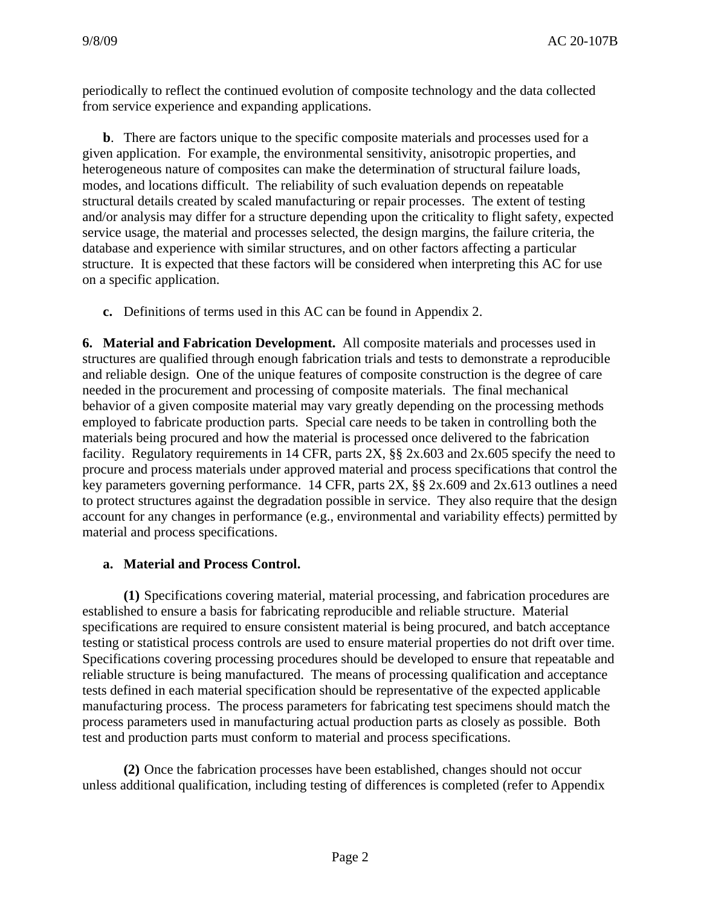periodically to reflect the continued evolution of composite technology and the data collected from service experience and expanding applications.

**b**. There are factors unique to the specific composite materials and processes used for a given application. For example, the environmental sensitivity, anisotropic properties, and heterogeneous nature of composites can make the determination of structural failure loads, modes, and locations difficult. The reliability of such evaluation depends on repeatable structural details created by scaled manufacturing or repair processes. The extent of testing and/or analysis may differ for a structure depending upon the criticality to flight safety, expected service usage, the material and processes selected, the design margins, the failure criteria, the database and experience with similar structures, and on other factors affecting a particular structure. It is expected that these factors will be considered when interpreting this AC for use on a specific application.

**c.** Definitions of terms used in this AC can be found in Appendix 2.

**6. Material and Fabrication Development.** All composite materials and processes used in structures are qualified through enough fabrication trials and tests to demonstrate a reproducible and reliable design. One of the unique features of composite construction is the degree of care needed in the procurement and processing of composite materials. The final mechanical behavior of a given composite material may vary greatly depending on the processing methods employed to fabricate production parts. Special care needs to be taken in controlling both the materials being procured and how the material is processed once delivered to the fabrication facility. Regulatory requirements in 14 CFR, parts 2X,  $\S$  2x, 603 and 2x, 605 specify the need to procure and process materials under approved material and process specifications that control the key parameters governing performance. 14 CFR, parts 2X, §§ 2x.609 and 2x.613 outlines a need to protect structures against the degradation possible in service. They also require that the design account for any changes in performance (e.g., environmental and variability effects) permitted by material and process specifications.

#### **a. Material and Process Control.**

 **(1)** Specifications covering material, material processing, and fabrication procedures are established to ensure a basis for fabricating reproducible and reliable structure. Material specifications are required to ensure consistent material is being procured, and batch acceptance testing or statistical process controls are used to ensure material properties do not drift over time. Specifications covering processing procedures should be developed to ensure that repeatable and reliable structure is being manufactured. The means of processing qualification and acceptance tests defined in each material specification should be representative of the expected applicable manufacturing process. The process parameters for fabricating test specimens should match the process parameters used in manufacturing actual production parts as closely as possible. Both test and production parts must conform to material and process specifications.

 **(2)** Once the fabrication processes have been established, changes should not occur unless additional qualification, including testing of differences is completed (refer to Appendix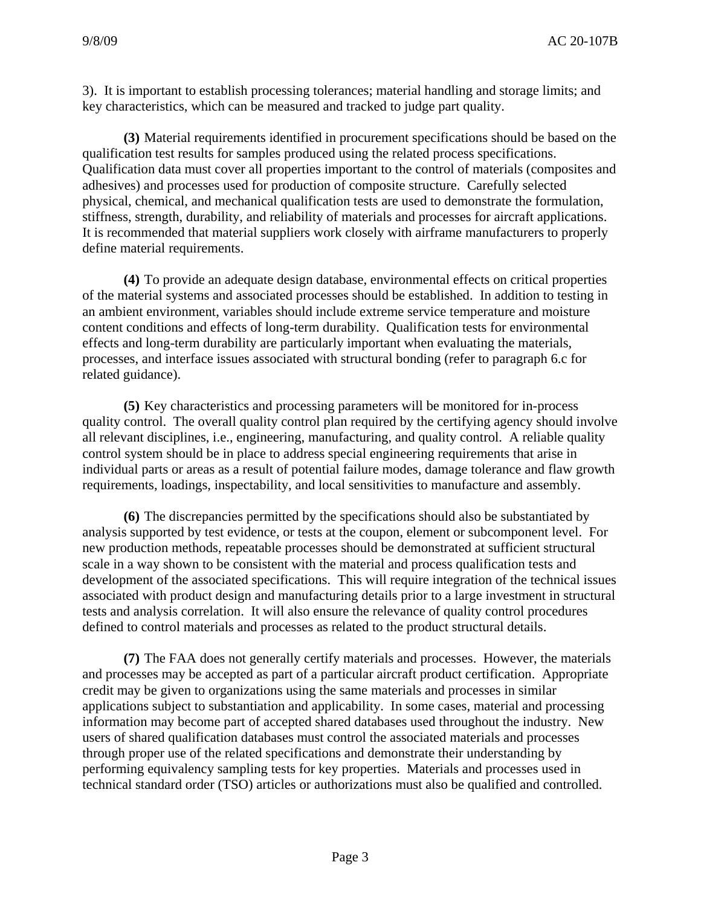3). It is important to establish processing tolerances; material handling and storage limits; and key characteristics, which can be measured and tracked to judge part quality.

 **(3)** Material requirements identified in procurement specifications should be based on the qualification test results for samples produced using the related process specifications. Qualification data must cover all properties important to the control of materials (composites and adhesives) and processes used for production of composite structure. Carefully selected physical, chemical, and mechanical qualification tests are used to demonstrate the formulation, stiffness, strength, durability, and reliability of materials and processes for aircraft applications. It is recommended that material suppliers work closely with airframe manufacturers to properly define material requirements.

 **(4)** To provide an adequate design database, environmental effects on critical properties of the material systems and associated processes should be established. In addition to testing in an ambient environment, variables should include extreme service temperature and moisture content conditions and effects of long-term durability. Qualification tests for environmental effects and long-term durability are particularly important when evaluating the materials, processes, and interface issues associated with structural bonding (refer to paragraph 6.c for related guidance).

 **(5)** Key characteristics and processing parameters will be monitored for in-process quality control. The overall quality control plan required by the certifying agency should involve all relevant disciplines, i.e., engineering, manufacturing, and quality control. A reliable quality control system should be in place to address special engineering requirements that arise in individual parts or areas as a result of potential failure modes, damage tolerance and flaw growth requirements, loadings, inspectability, and local sensitivities to manufacture and assembly.

 **(6)** The discrepancies permitted by the specifications should also be substantiated by analysis supported by test evidence, or tests at the coupon, element or subcomponent level. For new production methods, repeatable processes should be demonstrated at sufficient structural scale in a way shown to be consistent with the material and process qualification tests and development of the associated specifications. This will require integration of the technical issues associated with product design and manufacturing details prior to a large investment in structural tests and analysis correlation. It will also ensure the relevance of quality control procedures defined to control materials and processes as related to the product structural details.

 **(7)** The FAA does not generally certify materials and processes. However, the materials and processes may be accepted as part of a particular aircraft product certification. Appropriate credit may be given to organizations using the same materials and processes in similar applications subject to substantiation and applicability. In some cases, material and processing information may become part of accepted shared databases used throughout the industry. New users of shared qualification databases must control the associated materials and processes through proper use of the related specifications and demonstrate their understanding by performing equivalency sampling tests for key properties. Materials and processes used in technical standard order (TSO) articles or authorizations must also be qualified and controlled.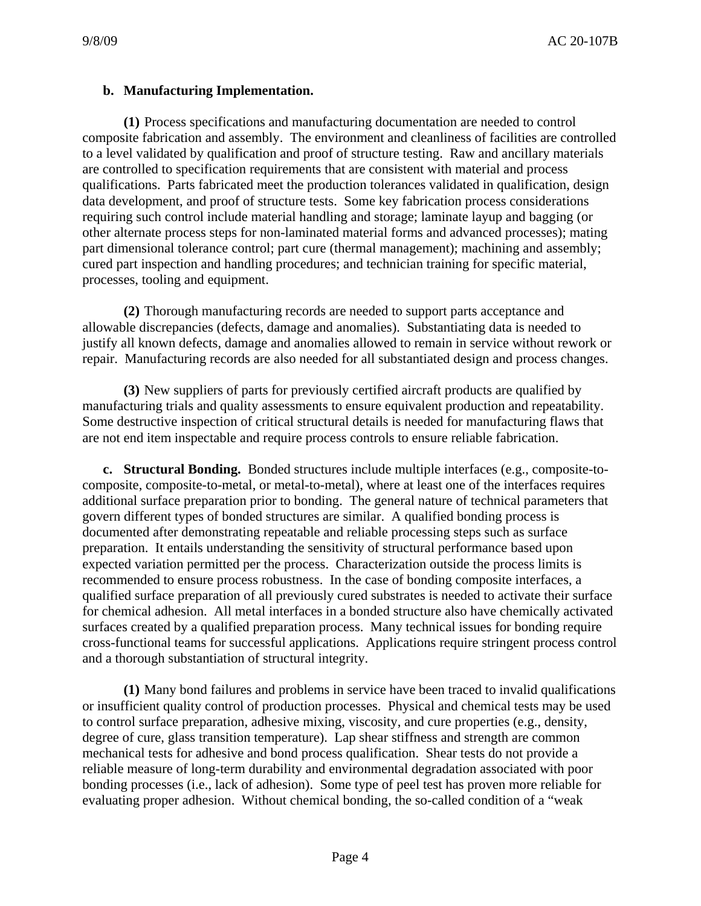# **b. Manufacturing Implementation.**

 **(1)** Process specifications and manufacturing documentation are needed to control composite fabrication and assembly. The environment and cleanliness of facilities are controlled to a level validated by qualification and proof of structure testing. Raw and ancillary materials are controlled to specification requirements that are consistent with material and process qualifications. Parts fabricated meet the production tolerances validated in qualification, design data development, and proof of structure tests. Some key fabrication process considerations requiring such control include material handling and storage; laminate layup and bagging (or other alternate process steps for non-laminated material forms and advanced processes); mating part dimensional tolerance control; part cure (thermal management); machining and assembly; cured part inspection and handling procedures; and technician training for specific material, processes, tooling and equipment.

 **(2)** Thorough manufacturing records are needed to support parts acceptance and allowable discrepancies (defects, damage and anomalies). Substantiating data is needed to justify all known defects, damage and anomalies allowed to remain in service without rework or repair. Manufacturing records are also needed for all substantiated design and process changes.

 **(3)** New suppliers of parts for previously certified aircraft products are qualified by manufacturing trials and quality assessments to ensure equivalent production and repeatability. Some destructive inspection of critical structural details is needed for manufacturing flaws that are not end item inspectable and require process controls to ensure reliable fabrication.

**c. Structural Bonding.** Bonded structures include multiple interfaces (e.g., composite-tocomposite, composite-to-metal, or metal-to-metal), where at least one of the interfaces requires additional surface preparation prior to bonding. The general nature of technical parameters that govern different types of bonded structures are similar. A qualified bonding process is documented after demonstrating repeatable and reliable processing steps such as surface preparation. It entails understanding the sensitivity of structural performance based upon expected variation permitted per the process. Characterization outside the process limits is recommended to ensure process robustness. In the case of bonding composite interfaces, a qualified surface preparation of all previously cured substrates is needed to activate their surface for chemical adhesion. All metal interfaces in a bonded structure also have chemically activated surfaces created by a qualified preparation process. Many technical issues for bonding require cross-functional teams for successful applications. Applications require stringent process control and a thorough substantiation of structural integrity.

 **(1)** Many bond failures and problems in service have been traced to invalid qualifications or insufficient quality control of production processes. Physical and chemical tests may be used to control surface preparation, adhesive mixing, viscosity, and cure properties (e.g., density, degree of cure, glass transition temperature). Lap shear stiffness and strength are common mechanical tests for adhesive and bond process qualification. Shear tests do not provide a reliable measure of long-term durability and environmental degradation associated with poor bonding processes (i.e., lack of adhesion). Some type of peel test has proven more reliable for evaluating proper adhesion. Without chemical bonding, the so-called condition of a "weak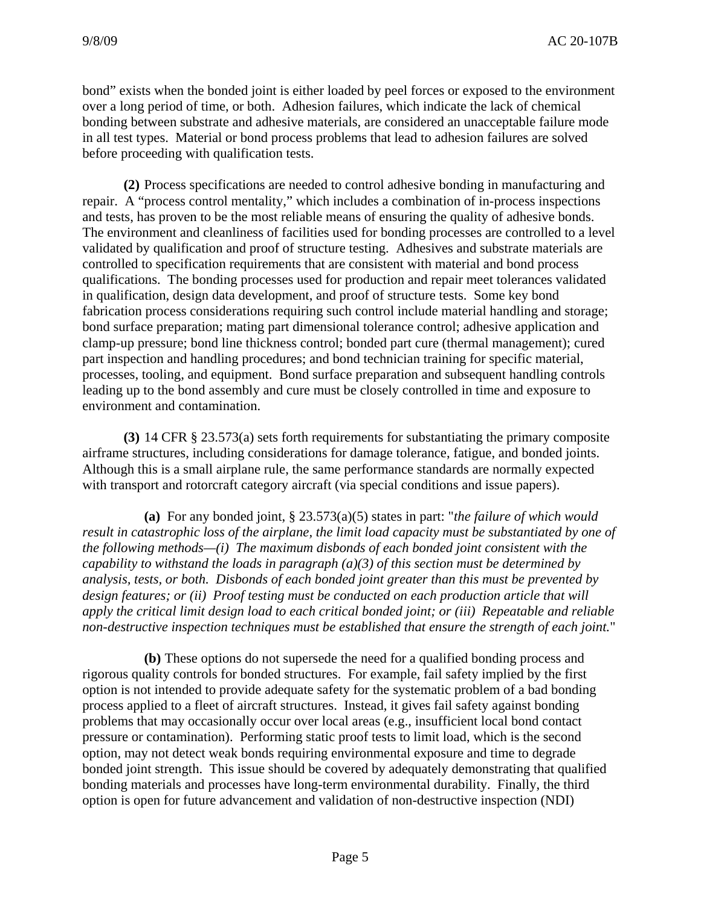bond" exists when the bonded joint is either loaded by peel forces or exposed to the environment over a long period of time, or both. Adhesion failures, which indicate the lack of chemical bonding between substrate and adhesive materials, are considered an unacceptable failure mode in all test types. Material or bond process problems that lead to adhesion failures are solved before proceeding with qualification tests.

 **(2)** Process specifications are needed to control adhesive bonding in manufacturing and repair. A "process control mentality," which includes a combination of in-process inspections and tests, has proven to be the most reliable means of ensuring the quality of adhesive bonds. The environment and cleanliness of facilities used for bonding processes are controlled to a level validated by qualification and proof of structure testing. Adhesives and substrate materials are controlled to specification requirements that are consistent with material and bond process qualifications. The bonding processes used for production and repair meet tolerances validated in qualification, design data development, and proof of structure tests. Some key bond fabrication process considerations requiring such control include material handling and storage; bond surface preparation; mating part dimensional tolerance control; adhesive application and clamp-up pressure; bond line thickness control; bonded part cure (thermal management); cured part inspection and handling procedures; and bond technician training for specific material, processes, tooling, and equipment. Bond surface preparation and subsequent handling controls leading up to the bond assembly and cure must be closely controlled in time and exposure to environment and contamination.

 **(3)** 14 CFR § 23.573(a) sets forth requirements for substantiating the primary composite airframe structures, including considerations for damage tolerance, fatigue, and bonded joints. Although this is a small airplane rule, the same performance standards are normally expected with transport and rotorcraft category aircraft (via special conditions and issue papers).

 **(a)** For any bonded joint, § 23.573(a)(5) states in part: "*the failure of which would result in catastrophic loss of the airplane, the limit load capacity must be substantiated by one of the following methods—(i) The maximum disbonds of each bonded joint consistent with the capability to withstand the loads in paragraph (a)(3) of this section must be determined by analysis, tests, or both. Disbonds of each bonded joint greater than this must be prevented by design features; or (ii) Proof testing must be conducted on each production article that will apply the critical limit design load to each critical bonded joint; or (iii) Repeatable and reliable non-destructive inspection techniques must be established that ensure the strength of each joint.*"

 **(b)** These options do not supersede the need for a qualified bonding process and rigorous quality controls for bonded structures. For example, fail safety implied by the first option is not intended to provide adequate safety for the systematic problem of a bad bonding process applied to a fleet of aircraft structures. Instead, it gives fail safety against bonding problems that may occasionally occur over local areas (e.g., insufficient local bond contact pressure or contamination). Performing static proof tests to limit load, which is the second option, may not detect weak bonds requiring environmental exposure and time to degrade bonded joint strength. This issue should be covered by adequately demonstrating that qualified bonding materials and processes have long-term environmental durability. Finally, the third option is open for future advancement and validation of non-destructive inspection (NDI)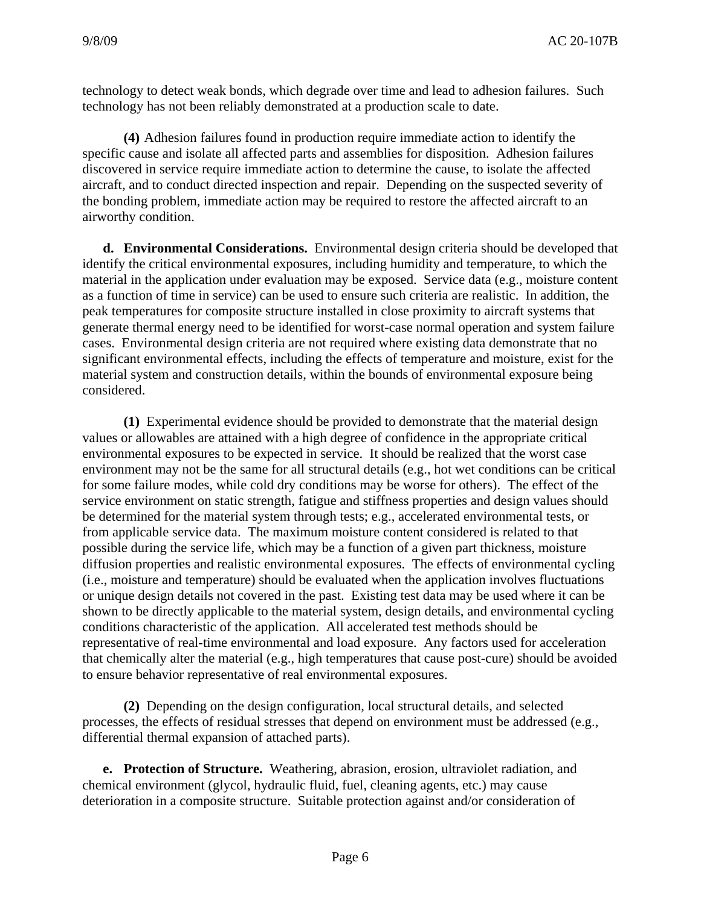technology to detect weak bonds, which degrade over time and lead to adhesion failures. Such technology has not been reliably demonstrated at a production scale to date.

 **(4)** Adhesion failures found in production require immediate action to identify the specific cause and isolate all affected parts and assemblies for disposition. Adhesion failures discovered in service require immediate action to determine the cause, to isolate the affected aircraft, and to conduct directed inspection and repair. Depending on the suspected severity of the bonding problem, immediate action may be required to restore the affected aircraft to an airworthy condition.

**d. Environmental Considerations.** Environmental design criteria should be developed that identify the critical environmental exposures, including humidity and temperature, to which the material in the application under evaluation may be exposed. Service data (e.g., moisture content as a function of time in service) can be used to ensure such criteria are realistic. In addition, the peak temperatures for composite structure installed in close proximity to aircraft systems that generate thermal energy need to be identified for worst-case normal operation and system failure cases. Environmental design criteria are not required where existing data demonstrate that no significant environmental effects, including the effects of temperature and moisture, exist for the material system and construction details, within the bounds of environmental exposure being considered.

 **(1)** Experimental evidence should be provided to demonstrate that the material design values or allowables are attained with a high degree of confidence in the appropriate critical environmental exposures to be expected in service. It should be realized that the worst case environment may not be the same for all structural details (e.g., hot wet conditions can be critical for some failure modes, while cold dry conditions may be worse for others). The effect of the service environment on static strength, fatigue and stiffness properties and design values should be determined for the material system through tests; e.g., accelerated environmental tests, or from applicable service data. The maximum moisture content considered is related to that possible during the service life, which may be a function of a given part thickness, moisture diffusion properties and realistic environmental exposures. The effects of environmental cycling (i.e., moisture and temperature) should be evaluated when the application involves fluctuations or unique design details not covered in the past. Existing test data may be used where it can be shown to be directly applicable to the material system, design details, and environmental cycling conditions characteristic of the application. All accelerated test methods should be representative of real-time environmental and load exposure. Any factors used for acceleration that chemically alter the material (e.g., high temperatures that cause post-cure) should be avoided to ensure behavior representative of real environmental exposures.

 **(2)** Depending on the design configuration, local structural details, and selected processes, the effects of residual stresses that depend on environment must be addressed (e.g., differential thermal expansion of attached parts).

 **e. Protection of Structure.** Weathering, abrasion, erosion, ultraviolet radiation, and chemical environment (glycol, hydraulic fluid, fuel, cleaning agents, etc.) may cause deterioration in a composite structure. Suitable protection against and/or consideration of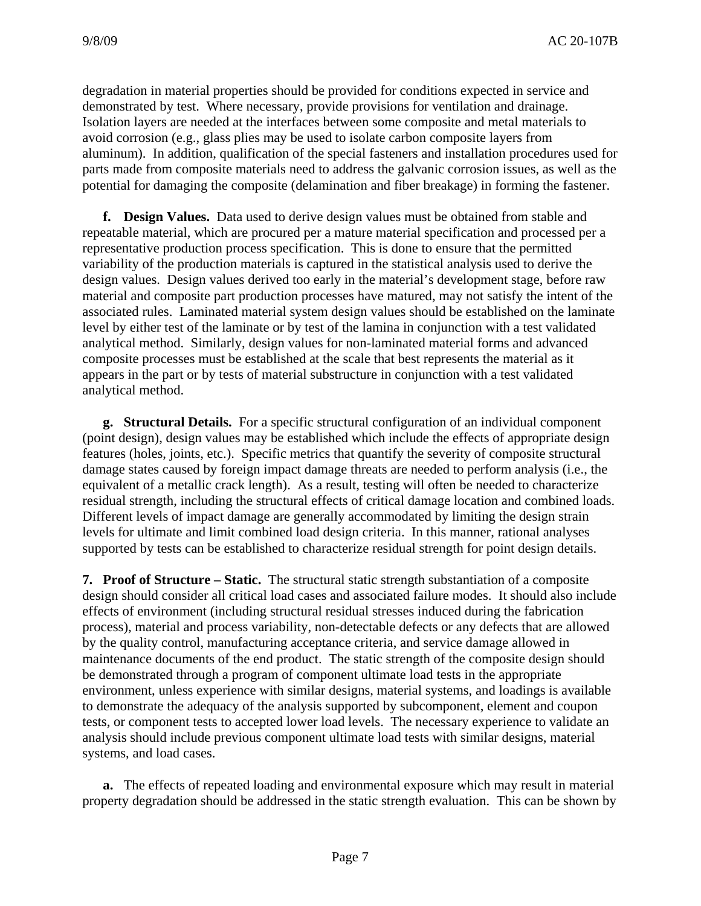degradation in material properties should be provided for conditions expected in service and demonstrated by test. Where necessary, provide provisions for ventilation and drainage. Isolation layers are needed at the interfaces between some composite and metal materials to avoid corrosion (e.g., glass plies may be used to isolate carbon composite layers from aluminum). In addition, qualification of the special fasteners and installation procedures used for parts made from composite materials need to address the galvanic corrosion issues, as well as the potential for damaging the composite (delamination and fiber breakage) in forming the fastener.

**f. Design Values.** Data used to derive design values must be obtained from stable and repeatable material, which are procured per a mature material specification and processed per a representative production process specification. This is done to ensure that the permitted variability of the production materials is captured in the statistical analysis used to derive the design values. Design values derived too early in the material's development stage, before raw material and composite part production processes have matured, may not satisfy the intent of the associated rules. Laminated material system design values should be established on the laminate level by either test of the laminate or by test of the lamina in conjunction with a test validated analytical method. Similarly, design values for non-laminated material forms and advanced composite processes must be established at the scale that best represents the material as it appears in the part or by tests of material substructure in conjunction with a test validated analytical method.

**g. Structural Details.** For a specific structural configuration of an individual component (point design), design values may be established which include the effects of appropriate design features (holes, joints, etc.). Specific metrics that quantify the severity of composite structural damage states caused by foreign impact damage threats are needed to perform analysis (i.e., the equivalent of a metallic crack length). As a result, testing will often be needed to characterize residual strength, including the structural effects of critical damage location and combined loads. Different levels of impact damage are generally accommodated by limiting the design strain levels for ultimate and limit combined load design criteria. In this manner, rational analyses supported by tests can be established to characterize residual strength for point design details.

**7. Proof of Structure – Static.** The structural static strength substantiation of a composite design should consider all critical load cases and associated failure modes. It should also include effects of environment (including structural residual stresses induced during the fabrication process), material and process variability, non-detectable defects or any defects that are allowed by the quality control, manufacturing acceptance criteria, and service damage allowed in maintenance documents of the end product. The static strength of the composite design should be demonstrated through a program of component ultimate load tests in the appropriate environment, unless experience with similar designs, material systems, and loadings is available to demonstrate the adequacy of the analysis supported by subcomponent, element and coupon tests, or component tests to accepted lower load levels. The necessary experience to validate an analysis should include previous component ultimate load tests with similar designs, material systems, and load cases.

**a.** The effects of repeated loading and environmental exposure which may result in material property degradation should be addressed in the static strength evaluation. This can be shown by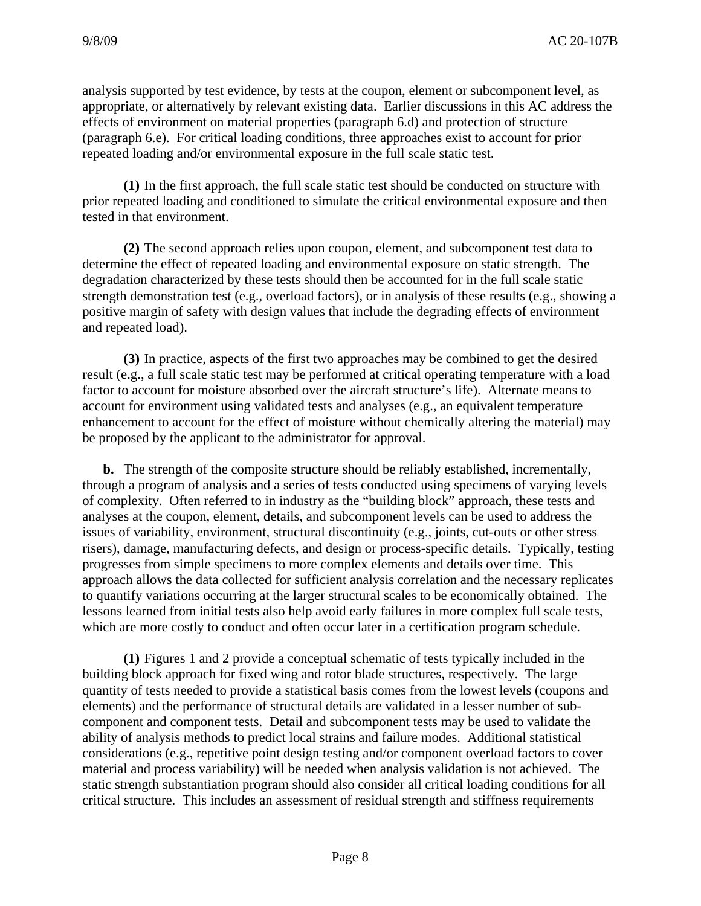analysis supported by test evidence, by tests at the coupon, element or subcomponent level, as appropriate, or alternatively by relevant existing data. Earlier discussions in this AC address the effects of environment on material properties (paragraph 6.d) and protection of structure (paragraph 6.e). For critical loading conditions, three approaches exist to account for prior repeated loading and/or environmental exposure in the full scale static test.

 **(1)** In the first approach, the full scale static test should be conducted on structure with prior repeated loading and conditioned to simulate the critical environmental exposure and then tested in that environment.

 **(2)** The second approach relies upon coupon, element, and subcomponent test data to determine the effect of repeated loading and environmental exposure on static strength. The degradation characterized by these tests should then be accounted for in the full scale static strength demonstration test (e.g., overload factors), or in analysis of these results (e.g., showing a positive margin of safety with design values that include the degrading effects of environment and repeated load).

 **(3)** In practice, aspects of the first two approaches may be combined to get the desired result (e.g., a full scale static test may be performed at critical operating temperature with a load factor to account for moisture absorbed over the aircraft structure's life). Alternate means to account for environment using validated tests and analyses (e.g., an equivalent temperature enhancement to account for the effect of moisture without chemically altering the material) may be proposed by the applicant to the administrator for approval.

**b.** The strength of the composite structure should be reliably established, incrementally, through a program of analysis and a series of tests conducted using specimens of varying levels of complexity. Often referred to in industry as the "building block" approach, these tests and analyses at the coupon, element, details, and subcomponent levels can be used to address the issues of variability, environment, structural discontinuity (e.g., joints, cut-outs or other stress risers), damage, manufacturing defects, and design or process-specific details. Typically, testing progresses from simple specimens to more complex elements and details over time. This approach allows the data collected for sufficient analysis correlation and the necessary replicates to quantify variations occurring at the larger structural scales to be economically obtained. The lessons learned from initial tests also help avoid early failures in more complex full scale tests, which are more costly to conduct and often occur later in a certification program schedule.

 **(1)** Figures 1 and 2 provide a conceptual schematic of tests typically included in the building block approach for fixed wing and rotor blade structures, respectively. The large quantity of tests needed to provide a statistical basis comes from the lowest levels (coupons and elements) and the performance of structural details are validated in a lesser number of subcomponent and component tests. Detail and subcomponent tests may be used to validate the ability of analysis methods to predict local strains and failure modes. Additional statistical considerations (e.g., repetitive point design testing and/or component overload factors to cover material and process variability) will be needed when analysis validation is not achieved. The static strength substantiation program should also consider all critical loading conditions for all critical structure. This includes an assessment of residual strength and stiffness requirements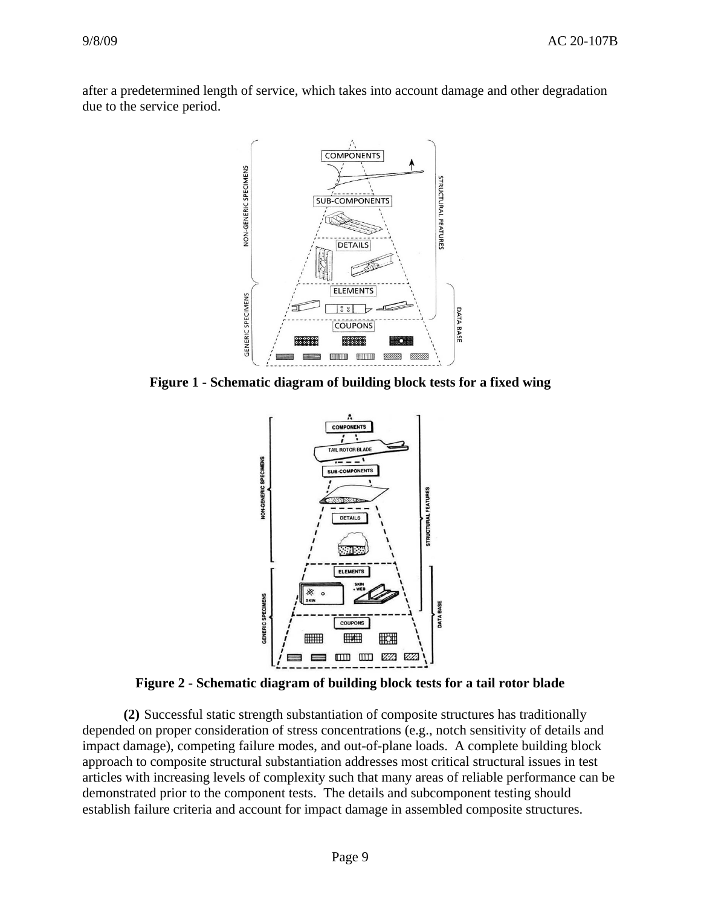after a predetermined length of service, which takes into account damage and other degradation due to the service period.



**Figure 1 - Schematic diagram of building block tests for a fixed wing** 



**Figure 2 - Schematic diagram of building block tests for a tail rotor blade** 

 **(2)** Successful static strength substantiation of composite structures has traditionally depended on proper consideration of stress concentrations (e.g., notch sensitivity of details and impact damage), competing failure modes, and out-of-plane loads. A complete building block approach to composite structural substantiation addresses most critical structural issues in test articles with increasing levels of complexity such that many areas of reliable performance can be demonstrated prior to the component tests. The details and subcomponent testing should establish failure criteria and account for impact damage in assembled composite structures.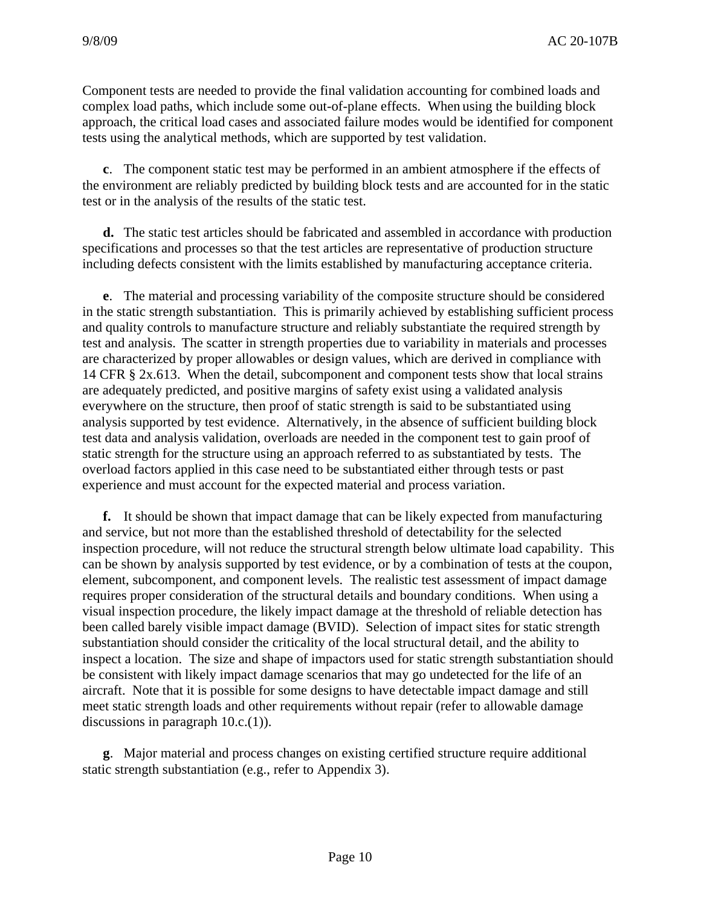Component tests are needed to provide the final validation accounting for combined loads and complex load paths, which include some out-of-plane effects. When using the building block approach, the critical load cases and associated failure modes would be identified for component tests using the analytical methods, which are supported by test validation.

**c**. The component static test may be performed in an ambient atmosphere if the effects of the environment are reliably predicted by building block tests and are accounted for in the static test or in the analysis of the results of the static test.

**d.** The static test articles should be fabricated and assembled in accordance with production specifications and processes so that the test articles are representative of production structure including defects consistent with the limits established by manufacturing acceptance criteria.

**e**. The material and processing variability of the composite structure should be considered in the static strength substantiation. This is primarily achieved by establishing sufficient process and quality controls to manufacture structure and reliably substantiate the required strength by test and analysis. The scatter in strength properties due to variability in materials and processes are characterized by proper allowables or design values, which are derived in compliance with 14 CFR § 2x.613. When the detail, subcomponent and component tests show that local strains are adequately predicted, and positive margins of safety exist using a validated analysis everywhere on the structure, then proof of static strength is said to be substantiated using analysis supported by test evidence. Alternatively, in the absence of sufficient building block test data and analysis validation, overloads are needed in the component test to gain proof of static strength for the structure using an approach referred to as substantiated by tests. The overload factors applied in this case need to be substantiated either through tests or past experience and must account for the expected material and process variation.

**f.** It should be shown that impact damage that can be likely expected from manufacturing and service, but not more than the established threshold of detectability for the selected inspection procedure, will not reduce the structural strength below ultimate load capability. This can be shown by analysis supported by test evidence, or by a combination of tests at the coupon, element, subcomponent, and component levels. The realistic test assessment of impact damage requires proper consideration of the structural details and boundary conditions. When using a visual inspection procedure, the likely impact damage at the threshold of reliable detection has been called barely visible impact damage (BVID). Selection of impact sites for static strength substantiation should consider the criticality of the local structural detail, and the ability to inspect a location. The size and shape of impactors used for static strength substantiation should be consistent with likely impact damage scenarios that may go undetected for the life of an aircraft. Note that it is possible for some designs to have detectable impact damage and still meet static strength loads and other requirements without repair (refer to allowable damage discussions in paragraph 10.c.(1)).

**g**. Major material and process changes on existing certified structure require additional static strength substantiation (e.g., refer to Appendix 3).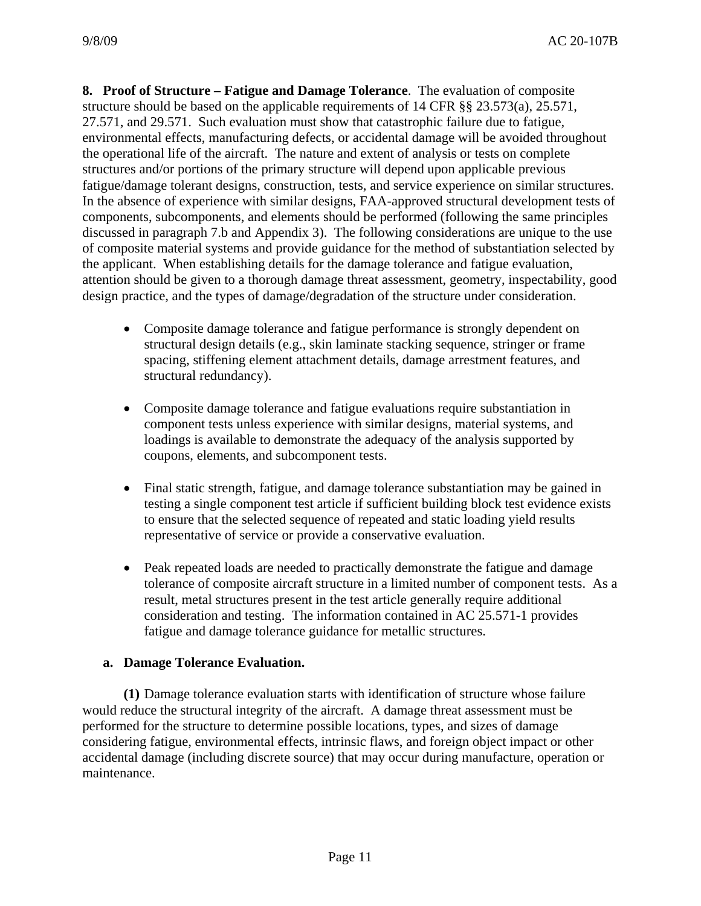**8. Proof of Structure – Fatigue and Damage Tolerance**. The evaluation of composite structure should be based on the applicable requirements of 14 CFR §§ 23.573(a), 25.571, 27.571, and 29.571. Such evaluation must show that catastrophic failure due to fatigue, environmental effects, manufacturing defects, or accidental damage will be avoided throughout the operational life of the aircraft. The nature and extent of analysis or tests on complete structures and/or portions of the primary structure will depend upon applicable previous fatigue/damage tolerant designs, construction, tests, and service experience on similar structures. In the absence of experience with similar designs, FAA-approved structural development tests of components, subcomponents, and elements should be performed (following the same principles discussed in paragraph 7.b and Appendix 3). The following considerations are unique to the use of composite material systems and provide guidance for the method of substantiation selected by the applicant. When establishing details for the damage tolerance and fatigue evaluation, attention should be given to a thorough damage threat assessment, geometry, inspectability, good design practice, and the types of damage/degradation of the structure under consideration.

- Composite damage tolerance and fatigue performance is strongly dependent on structural design details (e.g., skin laminate stacking sequence, stringer or frame spacing, stiffening element attachment details, damage arrestment features, and structural redundancy).
- Composite damage tolerance and fatigue evaluations require substantiation in component tests unless experience with similar designs, material systems, and loadings is available to demonstrate the adequacy of the analysis supported by coupons, elements, and subcomponent tests.
- Final static strength, fatigue, and damage tolerance substantiation may be gained in testing a single component test article if sufficient building block test evidence exists to ensure that the selected sequence of repeated and static loading yield results representative of service or provide a conservative evaluation.
- Peak repeated loads are needed to practically demonstrate the fatigue and damage tolerance of composite aircraft structure in a limited number of component tests. As a result, metal structures present in the test article generally require additional consideration and testing. The information contained in AC 25.571-1 provides fatigue and damage tolerance guidance for metallic structures.

# **a. Damage Tolerance Evaluation.**

 **(1)** Damage tolerance evaluation starts with identification of structure whose failure would reduce the structural integrity of the aircraft. A damage threat assessment must be performed for the structure to determine possible locations, types, and sizes of damage considering fatigue, environmental effects, intrinsic flaws, and foreign object impact or other accidental damage (including discrete source) that may occur during manufacture, operation or maintenance.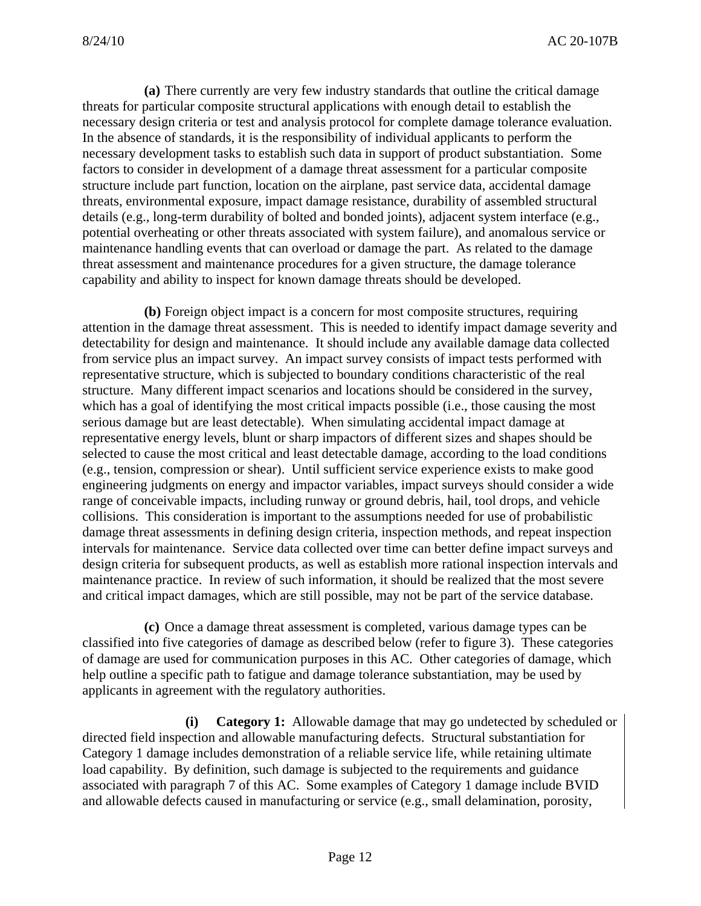**(a)** There currently are very few industry standards that outline the critical damage threats for particular composite structural applications with enough detail to establish the necessary design criteria or test and analysis protocol for complete damage tolerance evaluation. In the absence of standards, it is the responsibility of individual applicants to perform the necessary development tasks to establish such data in support of product substantiation. Some factors to consider in development of a damage threat assessment for a particular composite structure include part function, location on the airplane, past service data, accidental damage threats, environmental exposure, impact damage resistance, durability of assembled structural details (e.g., long-term durability of bolted and bonded joints), adjacent system interface (e.g., potential overheating or other threats associated with system failure), and anomalous service or maintenance handling events that can overload or damage the part. As related to the damage threat assessment and maintenance procedures for a given structure, the damage tolerance capability and ability to inspect for known damage threats should be developed.

 **(b)** Foreign object impact is a concern for most composite structures, requiring attention in the damage threat assessment. This is needed to identify impact damage severity and detectability for design and maintenance. It should include any available damage data collected from service plus an impact survey. An impact survey consists of impact tests performed with representative structure, which is subjected to boundary conditions characteristic of the real structure. Many different impact scenarios and locations should be considered in the survey, which has a goal of identifying the most critical impacts possible (i.e., those causing the most serious damage but are least detectable). When simulating accidental impact damage at representative energy levels, blunt or sharp impactors of different sizes and shapes should be selected to cause the most critical and least detectable damage, according to the load conditions (e.g., tension, compression or shear). Until sufficient service experience exists to make good engineering judgments on energy and impactor variables, impact surveys should consider a wide range of conceivable impacts, including runway or ground debris, hail, tool drops, and vehicle collisions. This consideration is important to the assumptions needed for use of probabilistic damage threat assessments in defining design criteria, inspection methods, and repeat inspection intervals for maintenance. Service data collected over time can better define impact surveys and design criteria for subsequent products, as well as establish more rational inspection intervals and maintenance practice. In review of such information, it should be realized that the most severe and critical impact damages, which are still possible, may not be part of the service database.

 **(c)** Once a damage threat assessment is completed, various damage types can be classified into five categories of damage as described below (refer to figure 3). These categories of damage are used for communication purposes in this AC. Other categories of damage, which help outline a specific path to fatigue and damage tolerance substantiation, may be used by applicants in agreement with the regulatory authorities.

**(i) Category 1:** Allowable damage that may go undetected by scheduled or directed field inspection and allowable manufacturing defects. Structural substantiation for Category 1 damage includes demonstration of a reliable service life, while retaining ultimate load capability. By definition, such damage is subjected to the requirements and guidance associated with paragraph 7 of this AC. Some examples of Category 1 damage include BVID and allowable defects caused in manufacturing or service (e.g., small delamination, porosity,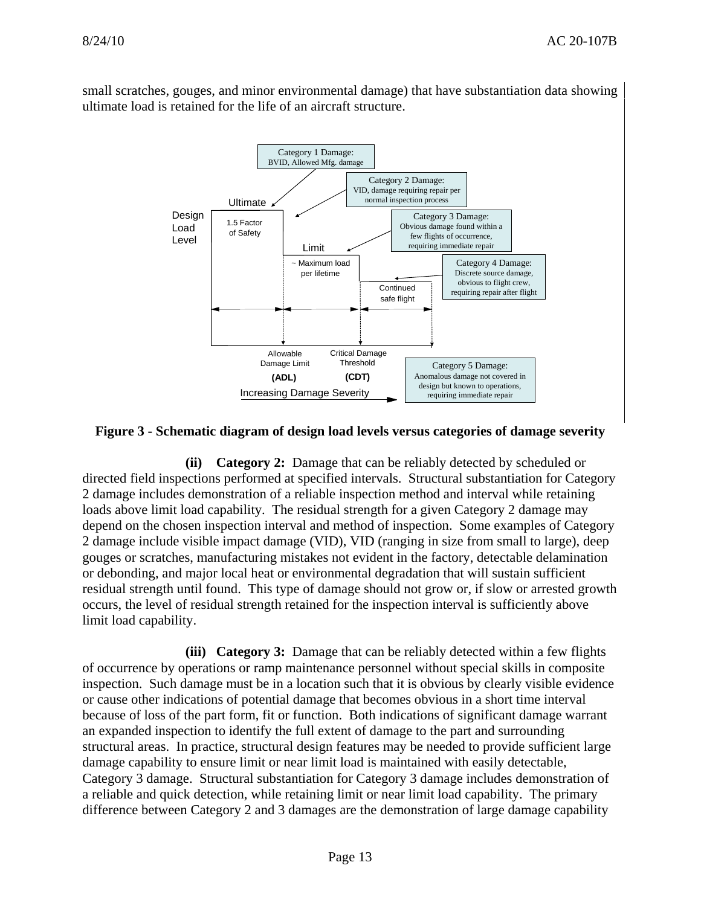small scratches, gouges, and minor environmental damage) that have substantiation data showing ultimate load is retained for the life of an aircraft structure.



#### **Figure 3 - Schematic diagram of design load levels versus categories of damage severity**

**(ii) Category 2:** Damage that can be reliably detected by scheduled or directed field inspections performed at specified intervals. Structural substantiation for Category 2 damage includes demonstration of a reliable inspection method and interval while retaining loads above limit load capability. The residual strength for a given Category 2 damage may depend on the chosen inspection interval and method of inspection. Some examples of Category 2 damage include visible impact damage (VID), VID (ranging in size from small to large), deep gouges or scratches, manufacturing mistakes not evident in the factory, detectable delamination or debonding, and major local heat or environmental degradation that will sustain sufficient residual strength until found. This type of damage should not grow or, if slow or arrested growth occurs, the level of residual strength retained for the inspection interval is sufficiently above limit load capability.

**(iii) Category 3:** Damage that can be reliably detected within a few flights of occurrence by operations or ramp maintenance personnel without special skills in composite inspection. Such damage must be in a location such that it is obvious by clearly visible evidence or cause other indications of potential damage that becomes obvious in a short time interval because of loss of the part form, fit or function. Both indications of significant damage warrant an expanded inspection to identify the full extent of damage to the part and surrounding structural areas. In practice, structural design features may be needed to provide sufficient large damage capability to ensure limit or near limit load is maintained with easily detectable, Category 3 damage. Structural substantiation for Category 3 damage includes demonstration of a reliable and quick detection, while retaining limit or near limit load capability. The primary difference between Category 2 and 3 damages are the demonstration of large damage capability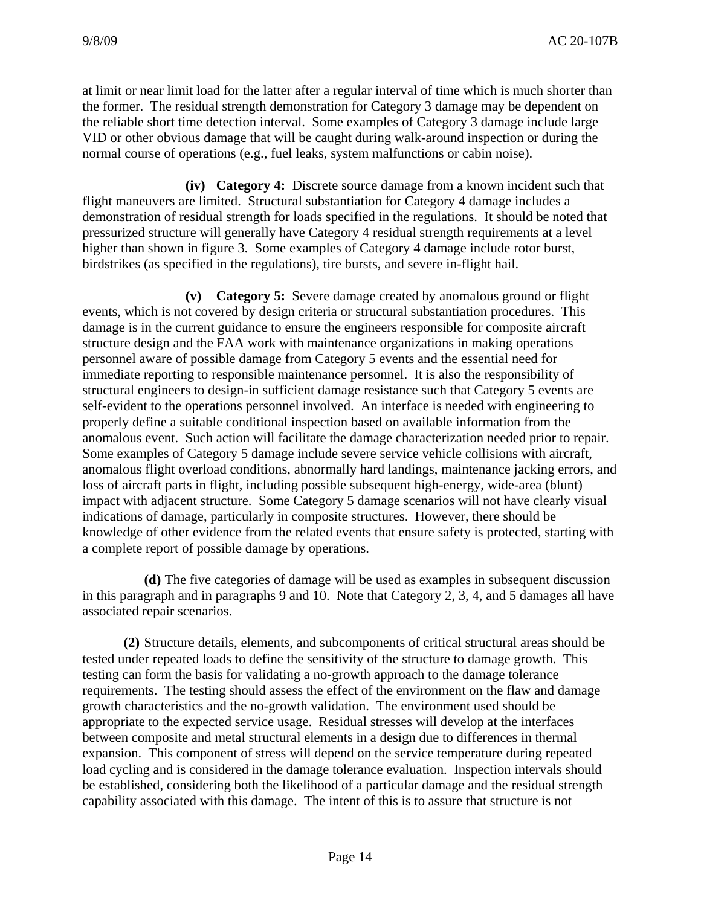at limit or near limit load for the latter after a regular interval of time which is much shorter than the former. The residual strength demonstration for Category 3 damage may be dependent on the reliable short time detection interval. Some examples of Category 3 damage include large VID or other obvious damage that will be caught during walk-around inspection or during the normal course of operations (e.g., fuel leaks, system malfunctions or cabin noise).

**(iv) Category 4:** Discrete source damage from a known incident such that flight maneuvers are limited. Structural substantiation for Category 4 damage includes a demonstration of residual strength for loads specified in the regulations. It should be noted that pressurized structure will generally have Category 4 residual strength requirements at a level higher than shown in figure 3. Some examples of Category 4 damage include rotor burst, birdstrikes (as specified in the regulations), tire bursts, and severe in-flight hail.

**(v) Category 5:** Severe damage created by anomalous ground or flight events, which is not covered by design criteria or structural substantiation procedures. This damage is in the current guidance to ensure the engineers responsible for composite aircraft structure design and the FAA work with maintenance organizations in making operations personnel aware of possible damage from Category 5 events and the essential need for immediate reporting to responsible maintenance personnel. It is also the responsibility of structural engineers to design-in sufficient damage resistance such that Category 5 events are self-evident to the operations personnel involved. An interface is needed with engineering to properly define a suitable conditional inspection based on available information from the anomalous event. Such action will facilitate the damage characterization needed prior to repair. Some examples of Category 5 damage include severe service vehicle collisions with aircraft, anomalous flight overload conditions, abnormally hard landings, maintenance jacking errors, and loss of aircraft parts in flight, including possible subsequent high-energy, wide-area (blunt) impact with adjacent structure. Some Category 5 damage scenarios will not have clearly visual indications of damage, particularly in composite structures. However, there should be knowledge of other evidence from the related events that ensure safety is protected, starting with a complete report of possible damage by operations.

 **(d)** The five categories of damage will be used as examples in subsequent discussion in this paragraph and in paragraphs 9 and 10. Note that Category 2, 3, 4, and 5 damages all have associated repair scenarios.

 **(2)** Structure details, elements, and subcomponents of critical structural areas should be tested under repeated loads to define the sensitivity of the structure to damage growth. This testing can form the basis for validating a no-growth approach to the damage tolerance requirements. The testing should assess the effect of the environment on the flaw and damage growth characteristics and the no-growth validation. The environment used should be appropriate to the expected service usage. Residual stresses will develop at the interfaces between composite and metal structural elements in a design due to differences in thermal expansion. This component of stress will depend on the service temperature during repeated load cycling and is considered in the damage tolerance evaluation. Inspection intervals should be established, considering both the likelihood of a particular damage and the residual strength capability associated with this damage. The intent of this is to assure that structure is not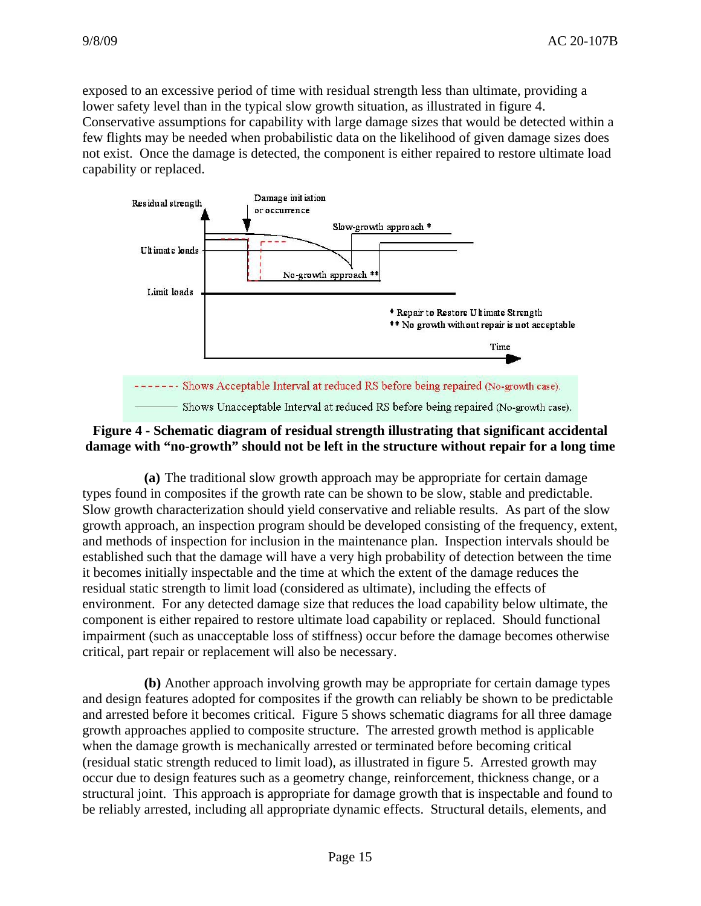exposed to an excessive period of time with residual strength less than ultimate, providing a lower safety level than in the typical slow growth situation, as illustrated in figure 4. Conservative assumptions for capability with large damage sizes that would be detected within a few flights may be needed when probabilistic data on the likelihood of given damage sizes does not exist. Once the damage is detected, the component is either repaired to restore ultimate load capability or replaced.



# **Figure 4 - Schematic diagram of residual strength illustrating that significant accidental damage with "no-growth" should not be left in the structure without repair for a long time**

 **(a)** The traditional slow growth approach may be appropriate for certain damage types found in composites if the growth rate can be shown to be slow, stable and predictable. Slow growth characterization should yield conservative and reliable results. As part of the slow growth approach, an inspection program should be developed consisting of the frequency, extent, and methods of inspection for inclusion in the maintenance plan. Inspection intervals should be established such that the damage will have a very high probability of detection between the time it becomes initially inspectable and the time at which the extent of the damage reduces the residual static strength to limit load (considered as ultimate), including the effects of environment. For any detected damage size that reduces the load capability below ultimate, the component is either repaired to restore ultimate load capability or replaced. Should functional impairment (such as unacceptable loss of stiffness) occur before the damage becomes otherwise critical, part repair or replacement will also be necessary.

 **(b)** Another approach involving growth may be appropriate for certain damage types and design features adopted for composites if the growth can reliably be shown to be predictable and arrested before it becomes critical. Figure 5 shows schematic diagrams for all three damage growth approaches applied to composite structure. The arrested growth method is applicable when the damage growth is mechanically arrested or terminated before becoming critical (residual static strength reduced to limit load), as illustrated in figure 5. Arrested growth may occur due to design features such as a geometry change, reinforcement, thickness change, or a structural joint. This approach is appropriate for damage growth that is inspectable and found to be reliably arrested, including all appropriate dynamic effects. Structural details, elements, and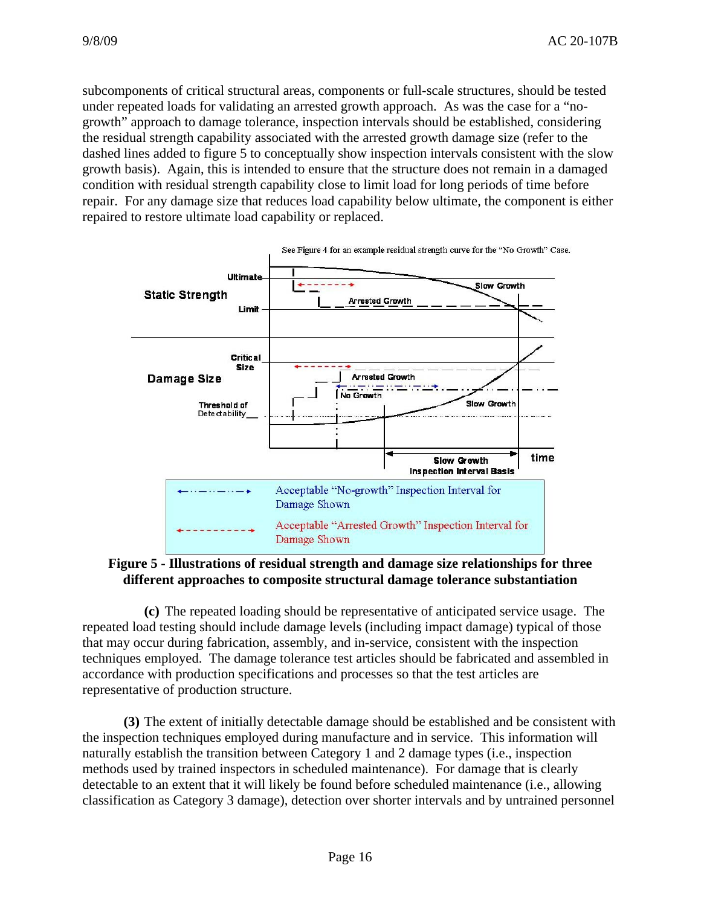subcomponents of critical structural areas, components or full-scale structures, should be tested under repeated loads for validating an arrested growth approach. As was the case for a "nogrowth" approach to damage tolerance, inspection intervals should be established, considering the residual strength capability associated with the arrested growth damage size (refer to the dashed lines added to figure 5 to conceptually show inspection intervals consistent with the slow growth basis). Again, this is intended to ensure that the structure does not remain in a damaged condition with residual strength capability close to limit load for long periods of time before repair. For any damage size that reduces load capability below ultimate, the component is either repaired to restore ultimate load capability or replaced.



**Figure 5 - Illustrations of residual strength and damage size relationships for three different approaches to composite structural damage tolerance substantiation** 

 **(c)** The repeated loading should be representative of anticipated service usage. The repeated load testing should include damage levels (including impact damage) typical of those that may occur during fabrication, assembly, and in-service, consistent with the inspection techniques employed. The damage tolerance test articles should be fabricated and assembled in accordance with production specifications and processes so that the test articles are representative of production structure.

 **(3)** The extent of initially detectable damage should be established and be consistent with the inspection techniques employed during manufacture and in service. This information will naturally establish the transition between Category 1 and 2 damage types (i.e., inspection methods used by trained inspectors in scheduled maintenance). For damage that is clearly detectable to an extent that it will likely be found before scheduled maintenance (i.e., allowing classification as Category 3 damage), detection over shorter intervals and by untrained personnel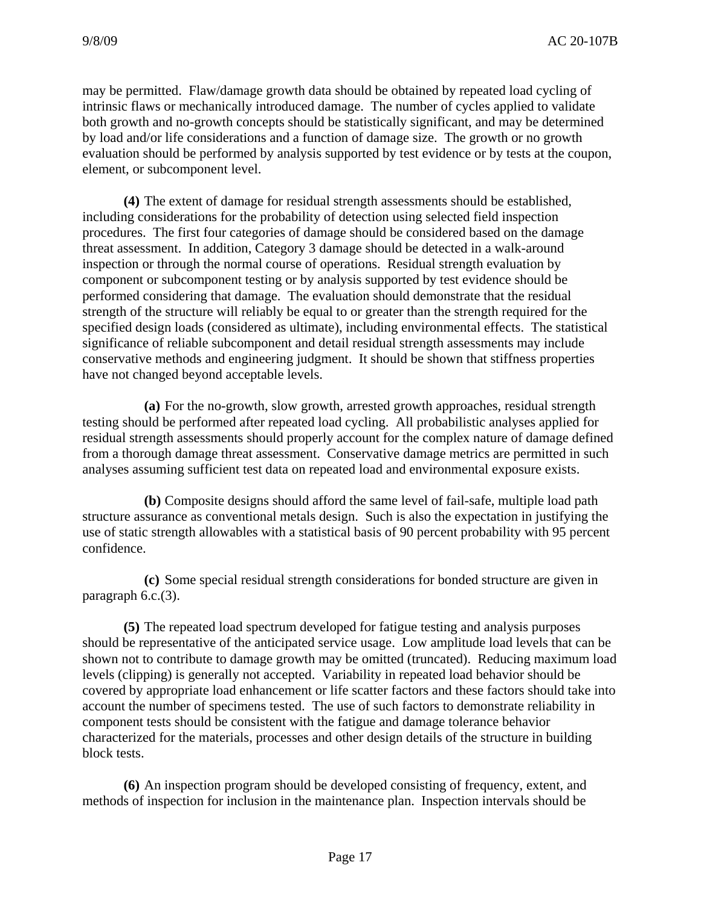may be permitted. Flaw/damage growth data should be obtained by repeated load cycling of intrinsic flaws or mechanically introduced damage. The number of cycles applied to validate both growth and no-growth concepts should be statistically significant, and may be determined by load and/or life considerations and a function of damage size. The growth or no growth evaluation should be performed by analysis supported by test evidence or by tests at the coupon, element, or subcomponent level.

 **(4)** The extent of damage for residual strength assessments should be established, including considerations for the probability of detection using selected field inspection procedures. The first four categories of damage should be considered based on the damage threat assessment. In addition, Category 3 damage should be detected in a walk-around inspection or through the normal course of operations. Residual strength evaluation by component or subcomponent testing or by analysis supported by test evidence should be performed considering that damage. The evaluation should demonstrate that the residual strength of the structure will reliably be equal to or greater than the strength required for the specified design loads (considered as ultimate), including environmental effects. The statistical significance of reliable subcomponent and detail residual strength assessments may include conservative methods and engineering judgment. It should be shown that stiffness properties have not changed beyond acceptable levels.

 **(a)** For the no-growth, slow growth, arrested growth approaches, residual strength testing should be performed after repeated load cycling. All probabilistic analyses applied for residual strength assessments should properly account for the complex nature of damage defined from a thorough damage threat assessment. Conservative damage metrics are permitted in such analyses assuming sufficient test data on repeated load and environmental exposure exists.

 **(b)** Composite designs should afford the same level of fail-safe, multiple load path structure assurance as conventional metals design. Such is also the expectation in justifying the use of static strength allowables with a statistical basis of 90 percent probability with 95 percent confidence.

 **(c)** Some special residual strength considerations for bonded structure are given in paragraph 6.c.(3).

 **(5)** The repeated load spectrum developed for fatigue testing and analysis purposes should be representative of the anticipated service usage. Low amplitude load levels that can be shown not to contribute to damage growth may be omitted (truncated). Reducing maximum load levels (clipping) is generally not accepted. Variability in repeated load behavior should be covered by appropriate load enhancement or life scatter factors and these factors should take into account the number of specimens tested. The use of such factors to demonstrate reliability in component tests should be consistent with the fatigue and damage tolerance behavior characterized for the materials, processes and other design details of the structure in building block tests.

 **(6)** An inspection program should be developed consisting of frequency, extent, and methods of inspection for inclusion in the maintenance plan. Inspection intervals should be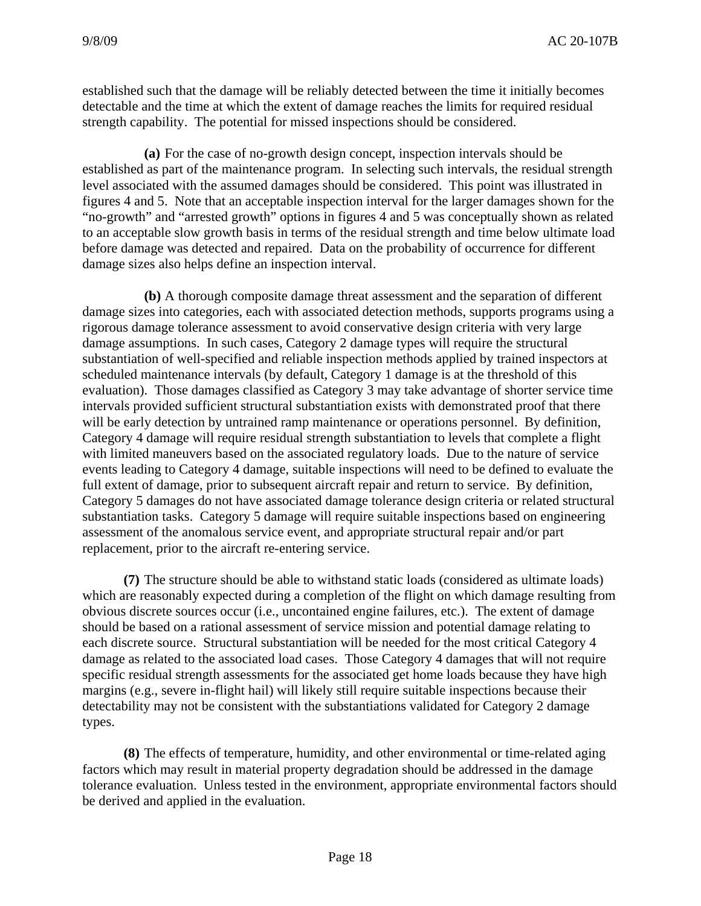established such that the damage will be reliably detected between the time it initially becomes detectable and the time at which the extent of damage reaches the limits for required residual strength capability. The potential for missed inspections should be considered.

 **(a)** For the case of no-growth design concept, inspection intervals should be established as part of the maintenance program. In selecting such intervals, the residual strength level associated with the assumed damages should be considered. This point was illustrated in figures 4 and 5. Note that an acceptable inspection interval for the larger damages shown for the "no-growth" and "arrested growth" options in figures 4 and 5 was conceptually shown as related to an acceptable slow growth basis in terms of the residual strength and time below ultimate load before damage was detected and repaired. Data on the probability of occurrence for different damage sizes also helps define an inspection interval.

 **(b)** A thorough composite damage threat assessment and the separation of different damage sizes into categories, each with associated detection methods, supports programs using a rigorous damage tolerance assessment to avoid conservative design criteria with very large damage assumptions. In such cases, Category 2 damage types will require the structural substantiation of well-specified and reliable inspection methods applied by trained inspectors at scheduled maintenance intervals (by default, Category 1 damage is at the threshold of this evaluation). Those damages classified as Category 3 may take advantage of shorter service time intervals provided sufficient structural substantiation exists with demonstrated proof that there will be early detection by untrained ramp maintenance or operations personnel. By definition, Category 4 damage will require residual strength substantiation to levels that complete a flight with limited maneuvers based on the associated regulatory loads. Due to the nature of service events leading to Category 4 damage, suitable inspections will need to be defined to evaluate the full extent of damage, prior to subsequent aircraft repair and return to service. By definition, Category 5 damages do not have associated damage tolerance design criteria or related structural substantiation tasks. Category 5 damage will require suitable inspections based on engineering assessment of the anomalous service event, and appropriate structural repair and/or part replacement, prior to the aircraft re-entering service.

 **(7)** The structure should be able to withstand static loads (considered as ultimate loads) which are reasonably expected during a completion of the flight on which damage resulting from obvious discrete sources occur (i.e., uncontained engine failures, etc.). The extent of damage should be based on a rational assessment of service mission and potential damage relating to each discrete source. Structural substantiation will be needed for the most critical Category 4 damage as related to the associated load cases. Those Category 4 damages that will not require specific residual strength assessments for the associated get home loads because they have high margins (e.g., severe in-flight hail) will likely still require suitable inspections because their detectability may not be consistent with the substantiations validated for Category 2 damage types.

 **(8)** The effects of temperature, humidity, and other environmental or time-related aging factors which may result in material property degradation should be addressed in the damage tolerance evaluation. Unless tested in the environment, appropriate environmental factors should be derived and applied in the evaluation.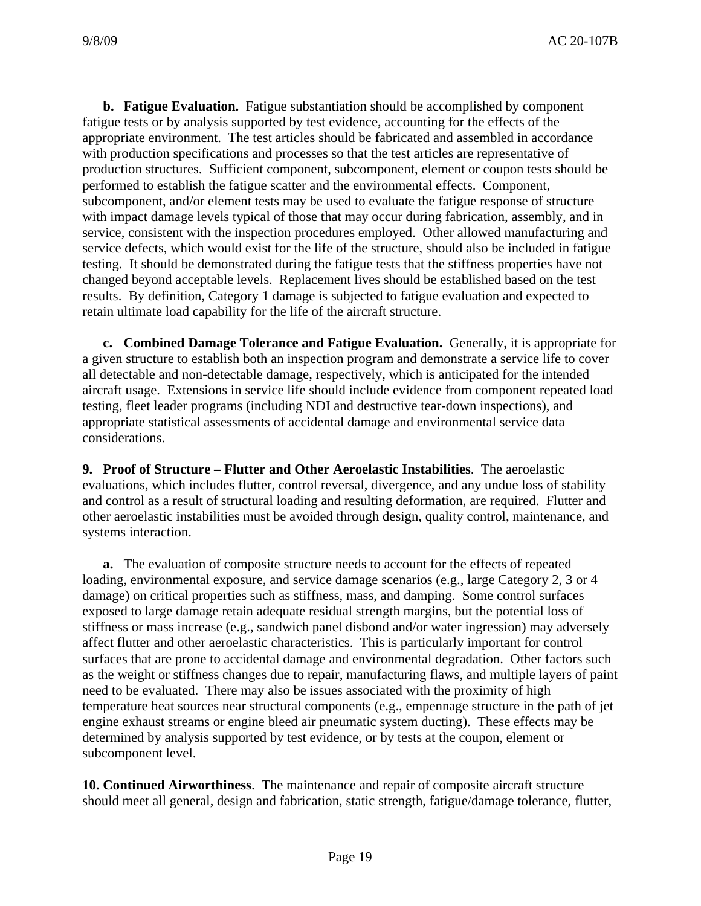**b. Fatigue Evaluation.** Fatigue substantiation should be accomplished by component fatigue tests or by analysis supported by test evidence, accounting for the effects of the appropriate environment. The test articles should be fabricated and assembled in accordance with production specifications and processes so that the test articles are representative of production structures. Sufficient component, subcomponent, element or coupon tests should be performed to establish the fatigue scatter and the environmental effects. Component, subcomponent, and/or element tests may be used to evaluate the fatigue response of structure with impact damage levels typical of those that may occur during fabrication, assembly, and in service, consistent with the inspection procedures employed. Other allowed manufacturing and service defects, which would exist for the life of the structure, should also be included in fatigue testing. It should be demonstrated during the fatigue tests that the stiffness properties have not changed beyond acceptable levels. Replacement lives should be established based on the test results. By definition, Category 1 damage is subjected to fatigue evaluation and expected to retain ultimate load capability for the life of the aircraft structure.

**c. Combined Damage Tolerance and Fatigue Evaluation.** Generally, it is appropriate for a given structure to establish both an inspection program and demonstrate a service life to cover all detectable and non-detectable damage, respectively, which is anticipated for the intended aircraft usage. Extensions in service life should include evidence from component repeated load testing, fleet leader programs (including NDI and destructive tear-down inspections), and appropriate statistical assessments of accidental damage and environmental service data considerations.

**9. Proof of Structure – Flutter and Other Aeroelastic Instabilities**. The aeroelastic evaluations, which includes flutter, control reversal, divergence, and any undue loss of stability and control as a result of structural loading and resulting deformation, are required. Flutter and other aeroelastic instabilities must be avoided through design, quality control, maintenance, and systems interaction.

**a.** The evaluation of composite structure needs to account for the effects of repeated loading, environmental exposure, and service damage scenarios (e.g., large Category 2, 3 or 4 damage) on critical properties such as stiffness, mass, and damping. Some control surfaces exposed to large damage retain adequate residual strength margins, but the potential loss of stiffness or mass increase (e.g., sandwich panel disbond and/or water ingression) may adversely affect flutter and other aeroelastic characteristics. This is particularly important for control surfaces that are prone to accidental damage and environmental degradation. Other factors such as the weight or stiffness changes due to repair, manufacturing flaws, and multiple layers of paint need to be evaluated. There may also be issues associated with the proximity of high temperature heat sources near structural components (e.g., empennage structure in the path of jet engine exhaust streams or engine bleed air pneumatic system ducting). These effects may be determined by analysis supported by test evidence, or by tests at the coupon, element or subcomponent level.

**10. Continued Airworthiness**. The maintenance and repair of composite aircraft structure should meet all general, design and fabrication, static strength, fatigue/damage tolerance, flutter,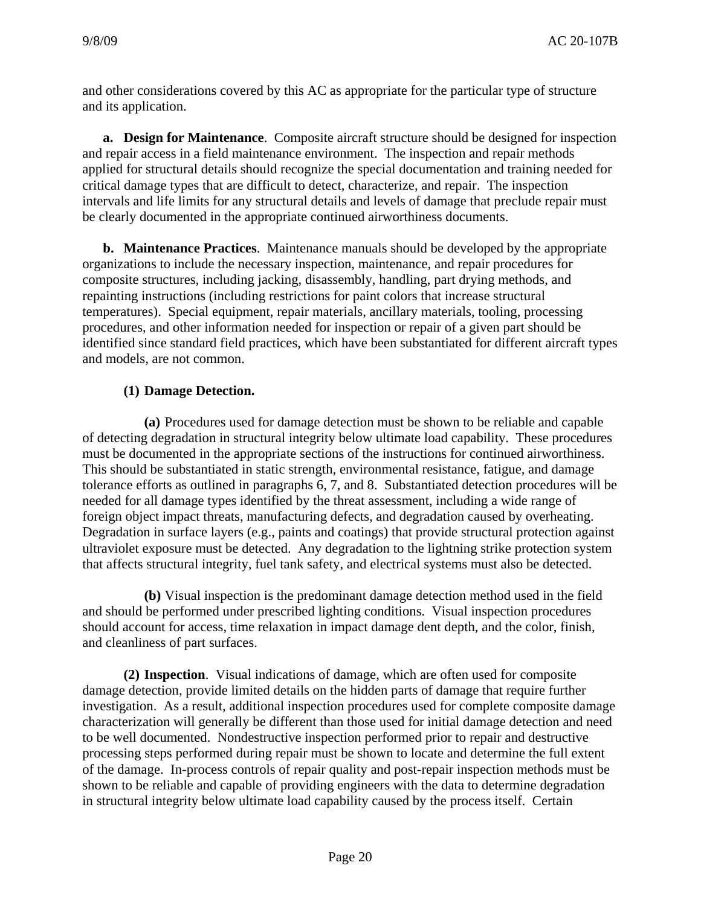and other considerations covered by this AC as appropriate for the particular type of structure and its application.

**a. Design for Maintenance**. Composite aircraft structure should be designed for inspection and repair access in a field maintenance environment. The inspection and repair methods applied for structural details should recognize the special documentation and training needed for critical damage types that are difficult to detect, characterize, and repair. The inspection intervals and life limits for any structural details and levels of damage that preclude repair must be clearly documented in the appropriate continued airworthiness documents.

**b. Maintenance Practices**. Maintenance manuals should be developed by the appropriate organizations to include the necessary inspection, maintenance, and repair procedures for composite structures, including jacking, disassembly, handling, part drying methods, and repainting instructions (including restrictions for paint colors that increase structural temperatures). Special equipment, repair materials, ancillary materials, tooling, processing procedures, and other information needed for inspection or repair of a given part should be identified since standard field practices, which have been substantiated for different aircraft types and models, are not common.

# **(1) Damage Detection.**

 **(a)** Procedures used for damage detection must be shown to be reliable and capable of detecting degradation in structural integrity below ultimate load capability. These procedures must be documented in the appropriate sections of the instructions for continued airworthiness. This should be substantiated in static strength, environmental resistance, fatigue, and damage tolerance efforts as outlined in paragraphs 6, 7, and 8. Substantiated detection procedures will be needed for all damage types identified by the threat assessment, including a wide range of foreign object impact threats, manufacturing defects, and degradation caused by overheating. Degradation in surface layers (e.g., paints and coatings) that provide structural protection against ultraviolet exposure must be detected. Any degradation to the lightning strike protection system that affects structural integrity, fuel tank safety, and electrical systems must also be detected.

 **(b)** Visual inspection is the predominant damage detection method used in the field and should be performed under prescribed lighting conditions. Visual inspection procedures should account for access, time relaxation in impact damage dent depth, and the color, finish, and cleanliness of part surfaces.

 **(2) Inspection**. Visual indications of damage, which are often used for composite damage detection, provide limited details on the hidden parts of damage that require further investigation. As a result, additional inspection procedures used for complete composite damage characterization will generally be different than those used for initial damage detection and need to be well documented. Nondestructive inspection performed prior to repair and destructive processing steps performed during repair must be shown to locate and determine the full extent of the damage. In-process controls of repair quality and post-repair inspection methods must be shown to be reliable and capable of providing engineers with the data to determine degradation in structural integrity below ultimate load capability caused by the process itself. Certain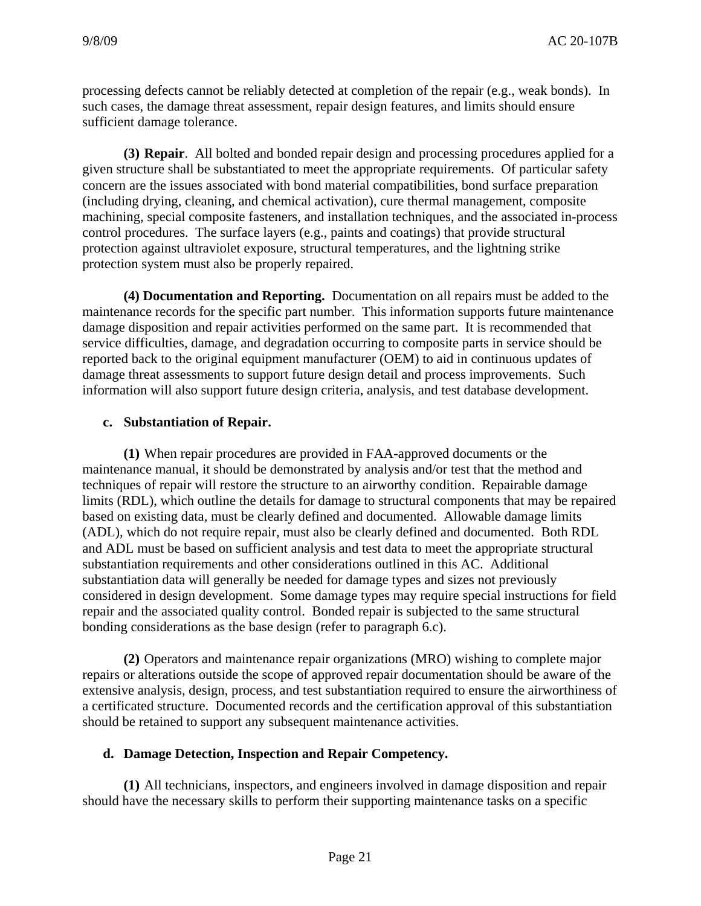processing defects cannot be reliably detected at completion of the repair (e.g., weak bonds). In such cases, the damage threat assessment, repair design features, and limits should ensure sufficient damage tolerance.

 **(3) Repair**. All bolted and bonded repair design and processing procedures applied for a given structure shall be substantiated to meet the appropriate requirements. Of particular safety concern are the issues associated with bond material compatibilities, bond surface preparation (including drying, cleaning, and chemical activation), cure thermal management, composite machining, special composite fasteners, and installation techniques, and the associated in-process control procedures. The surface layers (e.g., paints and coatings) that provide structural protection against ultraviolet exposure, structural temperatures, and the lightning strike protection system must also be properly repaired.

 **(4) Documentation and Reporting.** Documentation on all repairs must be added to the maintenance records for the specific part number. This information supports future maintenance damage disposition and repair activities performed on the same part. It is recommended that service difficulties, damage, and degradation occurring to composite parts in service should be reported back to the original equipment manufacturer (OEM) to aid in continuous updates of damage threat assessments to support future design detail and process improvements. Such information will also support future design criteria, analysis, and test database development.

#### **c. Substantiation of Repair.**

 **(1)** When repair procedures are provided in FAA-approved documents or the maintenance manual, it should be demonstrated by analysis and/or test that the method and techniques of repair will restore the structure to an airworthy condition. Repairable damage limits (RDL), which outline the details for damage to structural components that may be repaired based on existing data, must be clearly defined and documented. Allowable damage limits (ADL), which do not require repair, must also be clearly defined and documented. Both RDL and ADL must be based on sufficient analysis and test data to meet the appropriate structural substantiation requirements and other considerations outlined in this AC. Additional substantiation data will generally be needed for damage types and sizes not previously considered in design development. Some damage types may require special instructions for field repair and the associated quality control. Bonded repair is subjected to the same structural bonding considerations as the base design (refer to paragraph 6.c).

 **(2)** Operators and maintenance repair organizations (MRO) wishing to complete major repairs or alterations outside the scope of approved repair documentation should be aware of the extensive analysis, design, process, and test substantiation required to ensure the airworthiness of a certificated structure. Documented records and the certification approval of this substantiation should be retained to support any subsequent maintenance activities.

# **d. Damage Detection, Inspection and Repair Competency.**

 **(1)** All technicians, inspectors, and engineers involved in damage disposition and repair should have the necessary skills to perform their supporting maintenance tasks on a specific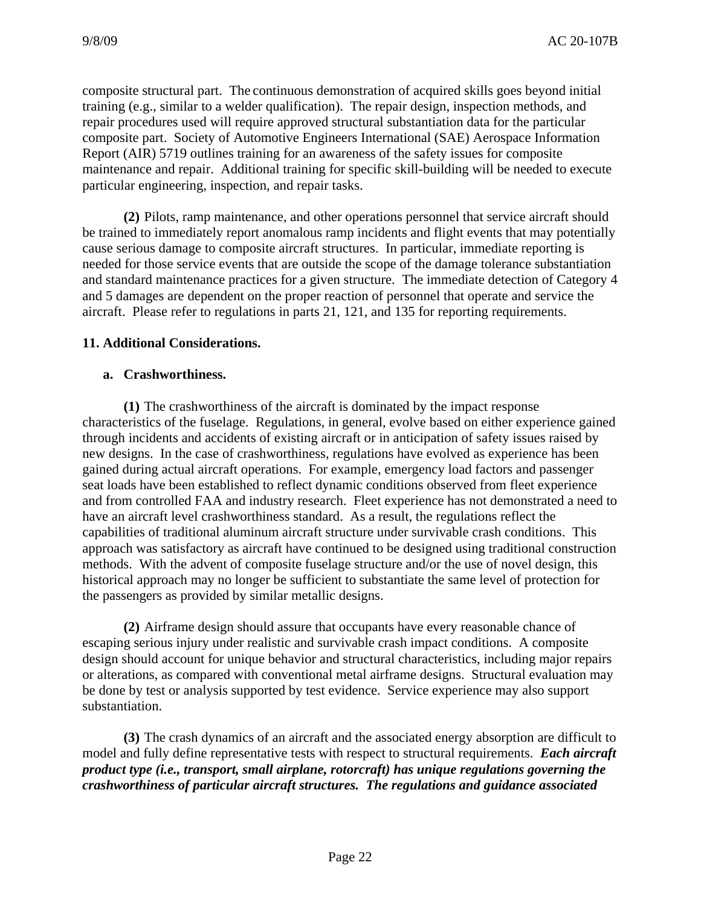composite structural part. The continuous demonstration of acquired skills goes beyond initial training (e.g., similar to a welder qualification). The repair design, inspection methods, and repair procedures used will require approved structural substantiation data for the particular composite part. Society of Automotive Engineers International (SAE) Aerospace Information Report (AIR) 5719 outlines training for an awareness of the safety issues for composite maintenance and repair. Additional training for specific skill-building will be needed to execute particular engineering, inspection, and repair tasks.

 **(2)** Pilots, ramp maintenance, and other operations personnel that service aircraft should be trained to immediately report anomalous ramp incidents and flight events that may potentially cause serious damage to composite aircraft structures. In particular, immediate reporting is needed for those service events that are outside the scope of the damage tolerance substantiation and standard maintenance practices for a given structure. The immediate detection of Category 4 and 5 damages are dependent on the proper reaction of personnel that operate and service the aircraft. Please refer to regulations in parts 21, 121, and 135 for reporting requirements.

# **11. Additional Considerations.**

#### **a. Crashworthiness.**

 **(1)** The crashworthiness of the aircraft is dominated by the impact response characteristics of the fuselage. Regulations, in general, evolve based on either experience gained through incidents and accidents of existing aircraft or in anticipation of safety issues raised by new designs. In the case of crashworthiness, regulations have evolved as experience has been gained during actual aircraft operations. For example, emergency load factors and passenger seat loads have been established to reflect dynamic conditions observed from fleet experience and from controlled FAA and industry research. Fleet experience has not demonstrated a need to have an aircraft level crashworthiness standard. As a result, the regulations reflect the capabilities of traditional aluminum aircraft structure under survivable crash conditions. This approach was satisfactory as aircraft have continued to be designed using traditional construction methods. With the advent of composite fuselage structure and/or the use of novel design, this historical approach may no longer be sufficient to substantiate the same level of protection for the passengers as provided by similar metallic designs.

 **(2)** Airframe design should assure that occupants have every reasonable chance of escaping serious injury under realistic and survivable crash impact conditions. A composite design should account for unique behavior and structural characteristics, including major repairs or alterations, as compared with conventional metal airframe designs. Structural evaluation may be done by test or analysis supported by test evidence. Service experience may also support substantiation.

 **(3)** The crash dynamics of an aircraft and the associated energy absorption are difficult to model and fully define representative tests with respect to structural requirements. *Each aircraft product type (i.e., transport, small airplane, rotorcraft) has unique regulations governing the crashworthiness of particular aircraft structures. The regulations and guidance associated*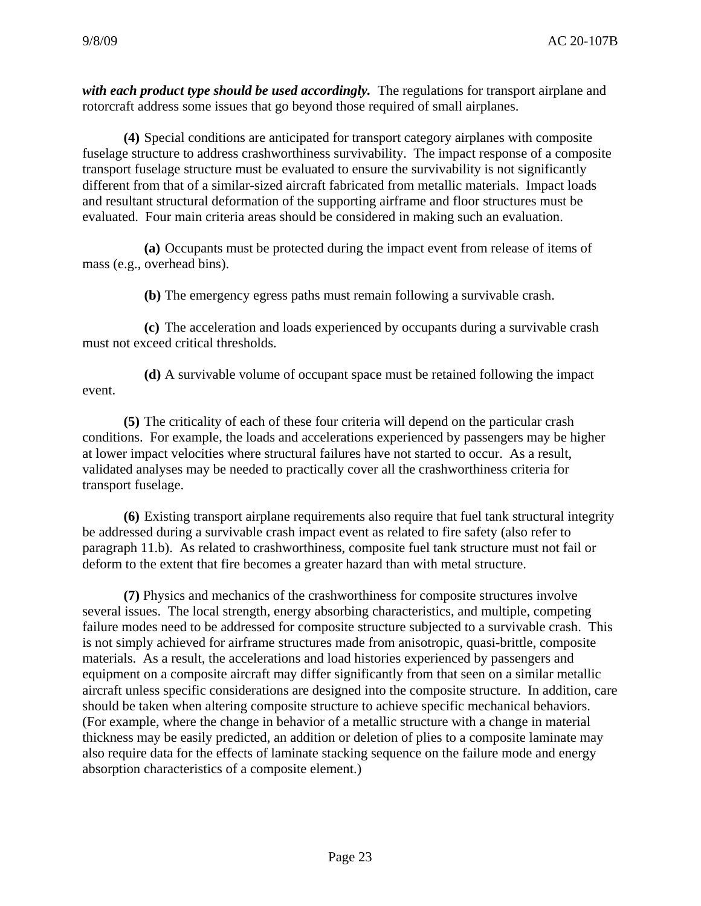with each product type should be used accordingly. The regulations for transport airplane and rotorcraft address some issues that go beyond those required of small airplanes.

 **(4)** Special conditions are anticipated for transport category airplanes with composite fuselage structure to address crashworthiness survivability. The impact response of a composite transport fuselage structure must be evaluated to ensure the survivability is not significantly different from that of a similar-sized aircraft fabricated from metallic materials. Impact loads and resultant structural deformation of the supporting airframe and floor structures must be evaluated. Four main criteria areas should be considered in making such an evaluation.

 **(a)** Occupants must be protected during the impact event from release of items of mass (e.g., overhead bins).

**(b)** The emergency egress paths must remain following a survivable crash.

 **(c)** The acceleration and loads experienced by occupants during a survivable crash must not exceed critical thresholds.

 **(d)** A survivable volume of occupant space must be retained following the impact event.

**(5)** The criticality of each of these four criteria will depend on the particular crash conditions. For example, the loads and accelerations experienced by passengers may be higher at lower impact velocities where structural failures have not started to occur. As a result, validated analyses may be needed to practically cover all the crashworthiness criteria for transport fuselage.

 **(6)** Existing transport airplane requirements also require that fuel tank structural integrity be addressed during a survivable crash impact event as related to fire safety (also refer to paragraph 11.b). As related to crashworthiness, composite fuel tank structure must not fail or deform to the extent that fire becomes a greater hazard than with metal structure.

 **(7)** Physics and mechanics of the crashworthiness for composite structures involve several issues. The local strength, energy absorbing characteristics, and multiple, competing failure modes need to be addressed for composite structure subjected to a survivable crash. This is not simply achieved for airframe structures made from anisotropic, quasi-brittle, composite materials. As a result, the accelerations and load histories experienced by passengers and equipment on a composite aircraft may differ significantly from that seen on a similar metallic aircraft unless specific considerations are designed into the composite structure. In addition, care should be taken when altering composite structure to achieve specific mechanical behaviors. (For example, where the change in behavior of a metallic structure with a change in material thickness may be easily predicted, an addition or deletion of plies to a composite laminate may also require data for the effects of laminate stacking sequence on the failure mode and energy absorption characteristics of a composite element.)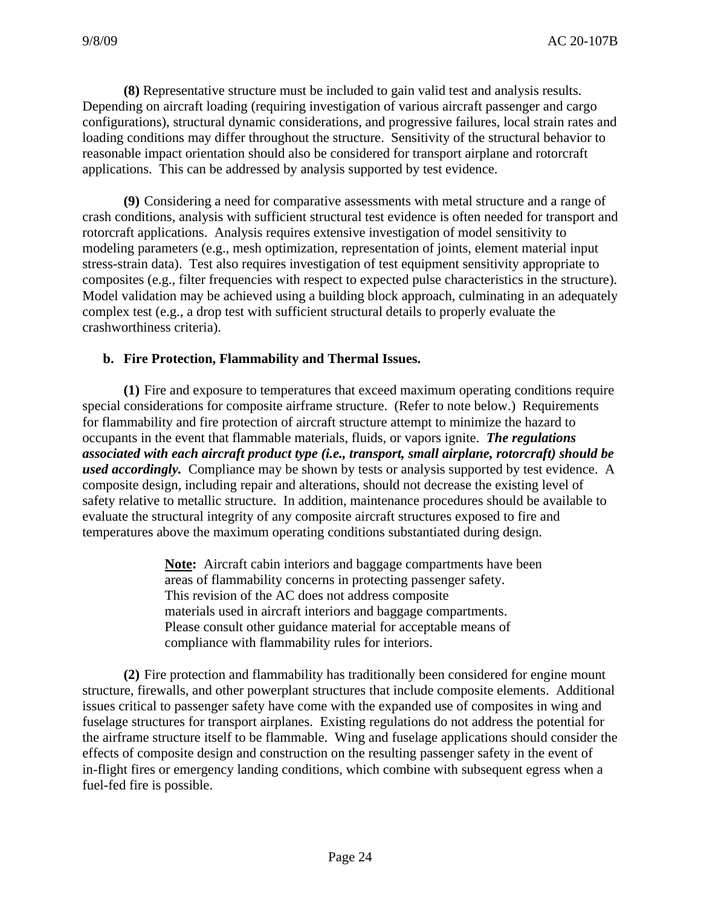**(8)** Representative structure must be included to gain valid test and analysis results. Depending on aircraft loading (requiring investigation of various aircraft passenger and cargo configurations), structural dynamic considerations, and progressive failures, local strain rates and loading conditions may differ throughout the structure. Sensitivity of the structural behavior to reasonable impact orientation should also be considered for transport airplane and rotorcraft applications. This can be addressed by analysis supported by test evidence.

 **(9)** Considering a need for comparative assessments with metal structure and a range of crash conditions, analysis with sufficient structural test evidence is often needed for transport and rotorcraft applications. Analysis requires extensive investigation of model sensitivity to modeling parameters (e.g., mesh optimization, representation of joints, element material input stress-strain data). Test also requires investigation of test equipment sensitivity appropriate to composites (e.g., filter frequencies with respect to expected pulse characteristics in the structure). Model validation may be achieved using a building block approach, culminating in an adequately complex test (e.g., a drop test with sufficient structural details to properly evaluate the crashworthiness criteria).

# **b. Fire Protection, Flammability and Thermal Issues.**

**(1)** Fire and exposure to temperatures that exceed maximum operating conditions require special considerations for composite airframe structure. (Refer to note below.) Requirements for flammability and fire protection of aircraft structure attempt to minimize the hazard to occupants in the event that flammable materials, fluids, or vapors ignite. *The regulations associated with each aircraft product type (i.e., transport, small airplane, rotorcraft) should be used accordingly.* Compliance may be shown by tests or analysis supported by test evidence. A composite design, including repair and alterations, should not decrease the existing level of safety relative to metallic structure. In addition, maintenance procedures should be available to evaluate the structural integrity of any composite aircraft structures exposed to fire and temperatures above the maximum operating conditions substantiated during design.

> **Note:** Aircraft cabin interiors and baggage compartments have been areas of flammability concerns in protecting passenger safety. This revision of the AC does not address composite materials used in aircraft interiors and baggage compartments. Please consult other guidance material for acceptable means of compliance with flammability rules for interiors.

**(2)** Fire protection and flammability has traditionally been considered for engine mount structure, firewalls, and other powerplant structures that include composite elements. Additional issues critical to passenger safety have come with the expanded use of composites in wing and fuselage structures for transport airplanes. Existing regulations do not address the potential for the airframe structure itself to be flammable. Wing and fuselage applications should consider the effects of composite design and construction on the resulting passenger safety in the event of in-flight fires or emergency landing conditions, which combine with subsequent egress when a fuel-fed fire is possible.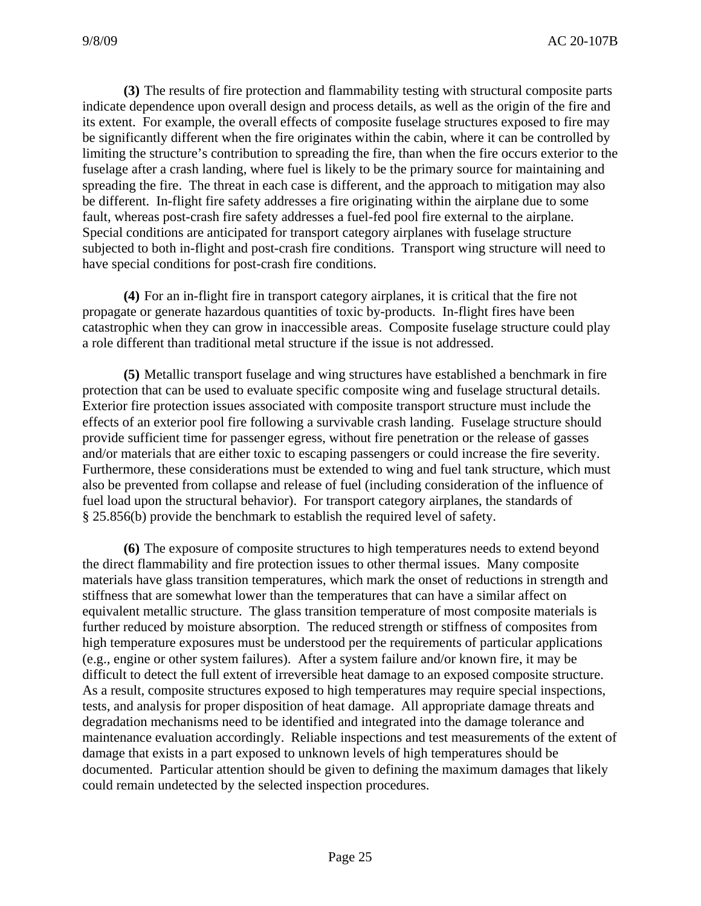**(3)** The results of fire protection and flammability testing with structural composite parts indicate dependence upon overall design and process details, as well as the origin of the fire and its extent. For example, the overall effects of composite fuselage structures exposed to fire may be significantly different when the fire originates within the cabin, where it can be controlled by limiting the structure's contribution to spreading the fire, than when the fire occurs exterior to the fuselage after a crash landing, where fuel is likely to be the primary source for maintaining and spreading the fire. The threat in each case is different, and the approach to mitigation may also be different. In-flight fire safety addresses a fire originating within the airplane due to some fault, whereas post-crash fire safety addresses a fuel-fed pool fire external to the airplane. Special conditions are anticipated for transport category airplanes with fuselage structure subjected to both in-flight and post-crash fire conditions. Transport wing structure will need to have special conditions for post-crash fire conditions.

**(4)** For an in-flight fire in transport category airplanes, it is critical that the fire not propagate or generate hazardous quantities of toxic by-products. In-flight fires have been catastrophic when they can grow in inaccessible areas. Composite fuselage structure could play a role different than traditional metal structure if the issue is not addressed.

**(5)** Metallic transport fuselage and wing structures have established a benchmark in fire protection that can be used to evaluate specific composite wing and fuselage structural details. Exterior fire protection issues associated with composite transport structure must include the effects of an exterior pool fire following a survivable crash landing. Fuselage structure should provide sufficient time for passenger egress, without fire penetration or the release of gasses and/or materials that are either toxic to escaping passengers or could increase the fire severity. Furthermore, these considerations must be extended to wing and fuel tank structure, which must also be prevented from collapse and release of fuel (including consideration of the influence of fuel load upon the structural behavior). For transport category airplanes, the standards of § 25.856(b) provide the benchmark to establish the required level of safety.

**(6)** The exposure of composite structures to high temperatures needs to extend beyond the direct flammability and fire protection issues to other thermal issues. Many composite materials have glass transition temperatures, which mark the onset of reductions in strength and stiffness that are somewhat lower than the temperatures that can have a similar affect on equivalent metallic structure. The glass transition temperature of most composite materials is further reduced by moisture absorption. The reduced strength or stiffness of composites from high temperature exposures must be understood per the requirements of particular applications (e.g., engine or other system failures). After a system failure and/or known fire, it may be difficult to detect the full extent of irreversible heat damage to an exposed composite structure. As a result, composite structures exposed to high temperatures may require special inspections, tests, and analysis for proper disposition of heat damage. All appropriate damage threats and degradation mechanisms need to be identified and integrated into the damage tolerance and maintenance evaluation accordingly. Reliable inspections and test measurements of the extent of damage that exists in a part exposed to unknown levels of high temperatures should be documented. Particular attention should be given to defining the maximum damages that likely could remain undetected by the selected inspection procedures.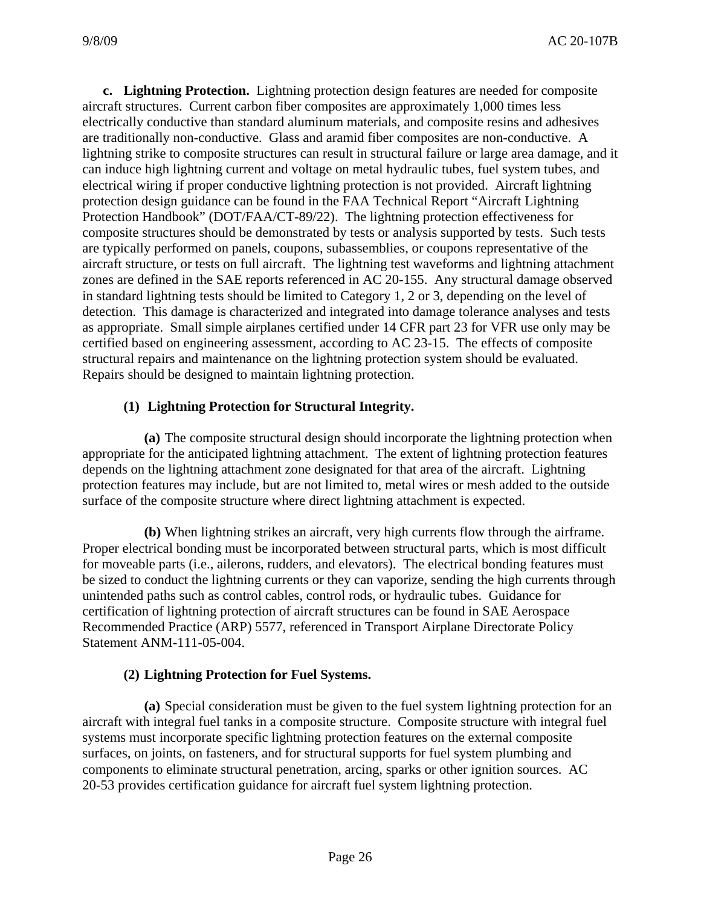**c. Lightning Protection.** Lightning protection design features are needed for composite aircraft structures. Current carbon fiber composites are approximately 1,000 times less electrically conductive than standard aluminum materials, and composite resins and adhesives are traditionally non-conductive. Glass and aramid fiber composites are non-conductive. A lightning strike to composite structures can result in structural failure or large area damage, and it can induce high lightning current and voltage on metal hydraulic tubes, fuel system tubes, and electrical wiring if proper conductive lightning protection is not provided. Aircraft lightning protection design guidance can be found in the FAA Technical Report "Aircraft Lightning Protection Handbook" (DOT/FAA/CT-89/22). The lightning protection effectiveness for composite structures should be demonstrated by tests or analysis supported by tests. Such tests are typically performed on panels, coupons, subassemblies, or coupons representative of the aircraft structure, or tests on full aircraft. The lightning test waveforms and lightning attachment zones are defined in the SAE reports referenced in AC 20-155. Any structural damage observed in standard lightning tests should be limited to Category 1, 2 or 3, depending on the level of detection. This damage is characterized and integrated into damage tolerance analyses and tests as appropriate. Small simple airplanes certified under 14 CFR part 23 for VFR use only may be certified based on engineering assessment, according to AC 23-15. The effects of composite structural repairs and maintenance on the lightning protection system should be evaluated. Repairs should be designed to maintain lightning protection.

# **(1) Lightning Protection for Structural Integrity.**

 **(a)** The composite structural design should incorporate the lightning protection when appropriate for the anticipated lightning attachment. The extent of lightning protection features depends on the lightning attachment zone designated for that area of the aircraft. Lightning protection features may include, but are not limited to, metal wires or mesh added to the outside surface of the composite structure where direct lightning attachment is expected.

 **(b)** When lightning strikes an aircraft, very high currents flow through the airframe. Proper electrical bonding must be incorporated between structural parts, which is most difficult for moveable parts (i.e., ailerons, rudders, and elevators). The electrical bonding features must be sized to conduct the lightning currents or they can vaporize, sending the high currents through unintended paths such as control cables, control rods, or hydraulic tubes. Guidance for certification of lightning protection of aircraft structures can be found in SAE Aerospace Recommended Practice (ARP) 5577, referenced in Transport Airplane Directorate Policy Statement ANM-111-05-004.

# **(2) Lightning Protection for Fuel Systems.**

 **(a)** Special consideration must be given to the fuel system lightning protection for an aircraft with integral fuel tanks in a composite structure. Composite structure with integral fuel systems must incorporate specific lightning protection features on the external composite surfaces, on joints, on fasteners, and for structural supports for fuel system plumbing and components to eliminate structural penetration, arcing, sparks or other ignition sources. AC 20-53 provides certification guidance for aircraft fuel system lightning protection.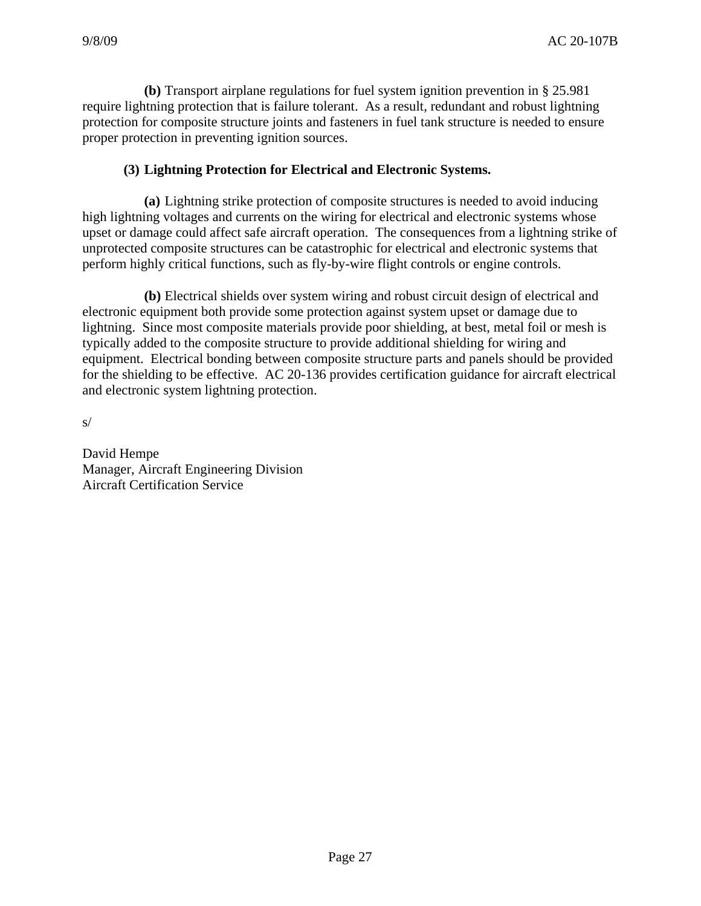**(b)** Transport airplane regulations for fuel system ignition prevention in § 25.981 require lightning protection that is failure tolerant. As a result, redundant and robust lightning protection for composite structure joints and fasteners in fuel tank structure is needed to ensure proper protection in preventing ignition sources.

#### **(3) Lightning Protection for Electrical and Electronic Systems.**

 **(a)** Lightning strike protection of composite structures is needed to avoid inducing high lightning voltages and currents on the wiring for electrical and electronic systems whose upset or damage could affect safe aircraft operation. The consequences from a lightning strike of unprotected composite structures can be catastrophic for electrical and electronic systems that perform highly critical functions, such as fly-by-wire flight controls or engine controls.

 **(b)** Electrical shields over system wiring and robust circuit design of electrical and electronic equipment both provide some protection against system upset or damage due to lightning. Since most composite materials provide poor shielding, at best, metal foil or mesh is typically added to the composite structure to provide additional shielding for wiring and equipment. Electrical bonding between composite structure parts and panels should be provided for the shielding to be effective. AC 20-136 provides certification guidance for aircraft electrical and electronic system lightning protection.

s/

David Hempe Manager, Aircraft Engineering Division Aircraft Certification Service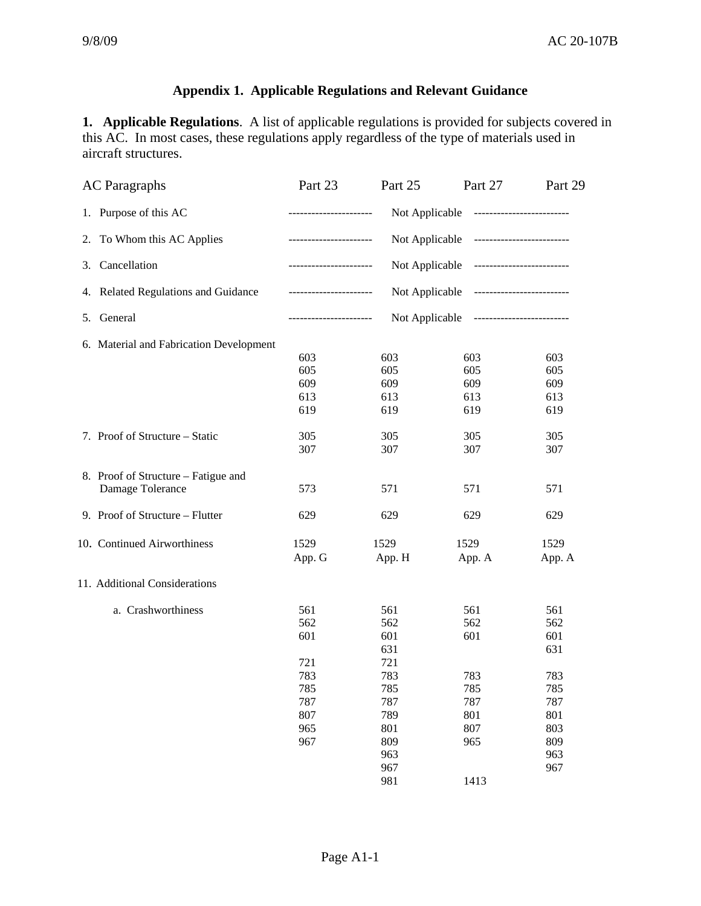# **Appendix 1. Applicable Regulations and Relevant Guidance**

**1. Applicable Regulations**. A list of applicable regulations is provided for subjects covered in this AC. In most cases, these regulations apply regardless of the type of materials used in aircraft structures.

| <b>AC</b> Paragraphs                    | Part 23                                                             | Part 25                                                                | Part 27 | Part 29 |  |  |
|-----------------------------------------|---------------------------------------------------------------------|------------------------------------------------------------------------|---------|---------|--|--|
| 1. Purpose of this AC                   |                                                                     | Not Applicable<br>-------------------------<br>----------------------  |         |         |  |  |
| 2. To Whom this AC Applies              |                                                                     | Not Applicable<br>-------------------------<br>_______________________ |         |         |  |  |
| Cancellation<br>3.                      |                                                                     | Not Applicable --------------------------<br>-----------------------   |         |         |  |  |
| 4. Related Regulations and Guidance     | Not Applicable --------------------------                           |                                                                        |         |         |  |  |
| 5. General                              | Not Applicable --------------------------<br>---------------------- |                                                                        |         |         |  |  |
| 6. Material and Fabrication Development |                                                                     |                                                                        |         |         |  |  |
|                                         | 603                                                                 | 603                                                                    | 603     | 603     |  |  |
|                                         | 605                                                                 | 605                                                                    | 605     | 605     |  |  |
|                                         | 609                                                                 | 609                                                                    | 609     | 609     |  |  |
|                                         | 613                                                                 | 613                                                                    | 613     | 613     |  |  |
|                                         | 619                                                                 | 619                                                                    | 619     | 619     |  |  |
| 7. Proof of Structure – Static          | 305                                                                 | 305                                                                    | 305     | 305     |  |  |
|                                         | 307                                                                 | 307                                                                    | 307     | 307     |  |  |
| 8. Proof of Structure – Fatigue and     |                                                                     |                                                                        |         |         |  |  |
| Damage Tolerance                        | 573                                                                 | 571                                                                    | 571     | 571     |  |  |
| 9. Proof of Structure – Flutter         | 629                                                                 | 629                                                                    | 629     | 629     |  |  |
| 10. Continued Airworthiness             | 1529                                                                | 1529                                                                   | 1529    | 1529    |  |  |
|                                         | App. G                                                              | App. H                                                                 | App. A  | App. A  |  |  |
| 11. Additional Considerations           |                                                                     |                                                                        |         |         |  |  |
| a. Crashworthiness                      | 561                                                                 | 561                                                                    | 561     | 561     |  |  |
|                                         | 562                                                                 | 562                                                                    | 562     | 562     |  |  |
|                                         | 601                                                                 | 601                                                                    | 601     | 601     |  |  |
|                                         |                                                                     | 631                                                                    |         | 631     |  |  |
|                                         | 721                                                                 | 721                                                                    |         |         |  |  |
|                                         | 783                                                                 | 783                                                                    | 783     | 783     |  |  |
|                                         | 785                                                                 | 785                                                                    | 785     | 785     |  |  |
|                                         | 787                                                                 | 787                                                                    | 787     | 787     |  |  |
|                                         | 807                                                                 | 789                                                                    | 801     | 801     |  |  |
|                                         | 965                                                                 | 801                                                                    | 807     | 803     |  |  |
|                                         | 967                                                                 | 809                                                                    | 965     | 809     |  |  |
|                                         |                                                                     | 963                                                                    |         | 963     |  |  |
|                                         |                                                                     | 967                                                                    |         | 967     |  |  |
|                                         |                                                                     | 981                                                                    | 1413    |         |  |  |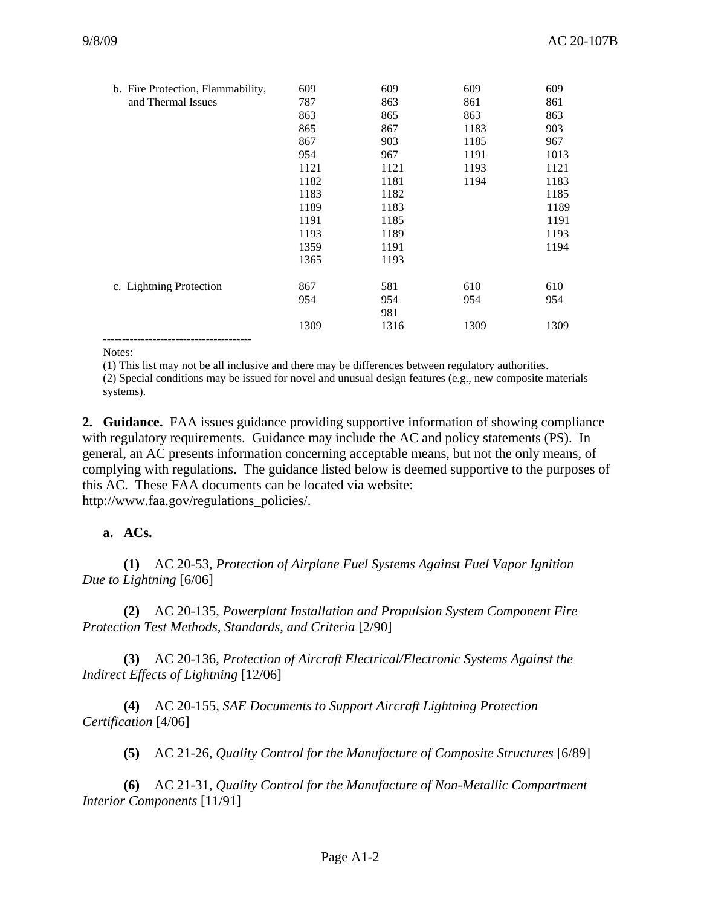| b. Fire Protection, Flammability, | 609  | 609  | 609  | 609  |
|-----------------------------------|------|------|------|------|
| and Thermal Issues                | 787  | 863  | 861  | 861  |
|                                   | 863  | 865  | 863  | 863  |
|                                   | 865  | 867  | 1183 | 903  |
|                                   | 867  | 903  | 1185 | 967  |
|                                   | 954  | 967  | 1191 | 1013 |
|                                   | 1121 | 1121 | 1193 | 1121 |
|                                   | 1182 | 1181 | 1194 | 1183 |
|                                   | 1183 | 1182 |      | 1185 |
|                                   | 1189 | 1183 |      | 1189 |
|                                   | 1191 | 1185 |      | 1191 |
|                                   | 1193 | 1189 |      | 1193 |
|                                   | 1359 | 1191 |      | 1194 |
|                                   | 1365 | 1193 |      |      |
| c. Lightning Protection           | 867  | 581  | 610  | 610  |
|                                   | 954  | 954  | 954  | 954  |
|                                   |      | 981  |      |      |
|                                   | 1309 | 1316 | 1309 | 1309 |
|                                   |      |      |      |      |

Notes:

(1) This list may not be all inclusive and there may be differences between regulatory authorities.

 (2) Special conditions may be issued for novel and unusual design features (e.g., new composite materials systems).

**2. Guidance.** FAA issues guidance providing supportive information of showing compliance with regulatory requirements. Guidance may include the AC and policy statements (PS). In general, an AC presents information concerning acceptable means, but not the only means, of complying with regulations. The guidance listed below is deemed supportive to the purposes of this AC. These FAA documents can be located via website: http://www.faa.gov/regulations\_policies/.

#### **a. ACs.**

 **(1)** AC 20-53, *Protection of Airplane Fuel Systems Against Fuel Vapor Ignition Due to Lightning* [6/06]

 **(2)** AC 20-135, *Powerplant Installation and Propulsion System Component Fire Protection Test Methods, Standards, and Criteria* [2/90]

 **(3)** AC 20-136, *Protection of Aircraft Electrical/Electronic Systems Against the Indirect Effects of Lightning* [12/06]

 **(4)** AC 20-155, *SAE Documents to Support Aircraft Lightning Protection Certification* [4/06]

**(5)** AC 21-26, *Quality Control for the Manufacture of Composite Structures* [6/89]

 **(6)** AC 21-31, *Quality Control for the Manufacture of Non-Metallic Compartment Interior Components* [11/91]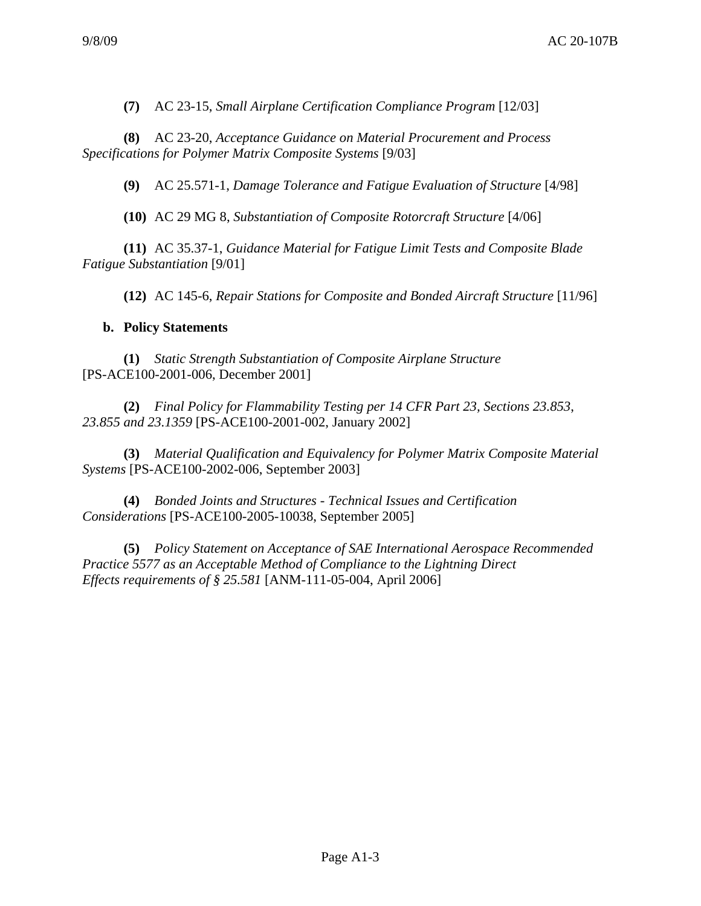**(7)** AC 23-15, *Small Airplane Certification Compliance Program* [12/03]

 **(8)** AC 23-20, *Acceptance Guidance on Material Procurement and Process Specifications for Polymer Matrix Composite Systems* [9/03]

**(9)** AC 25.571-1, *Damage Tolerance and Fatigue Evaluation of Structure* [4/98]

**(10)** AC 29 MG 8, *Substantiation of Composite Rotorcraft Structure* [4/06]

 **(11)** AC 35.37-1, *Guidance Material for Fatigue Limit Tests and Composite Blade Fatigue Substantiation* [9/01]

**(12)** AC 145-6, *Repair Stations for Composite and Bonded Aircraft Structure* [11/96]

#### **b. Policy Statements**

 **(1)** *Static Strength Substantiation of Composite Airplane Structure* [PS-ACE100-2001-006, December 2001]

 **(2)** *Final Policy for Flammability Testing per 14 CFR Part 23, Sections 23.853*, *23.855 and 23.1359* [PS-ACE100-2001-002, January 2002]

 **(3)** *Material Qualification and Equivalency for Polymer Matrix Composite Material Systems* [PS-ACE100-2002-006, September 2003]

 **(4)** *Bonded Joints and Structures - Technical Issues and Certification Considerations* [PS-ACE100-2005-10038, September 2005]

 **(5)** *Policy Statement on Acceptance of SAE International Aerospace Recommended Practice 5577 as an Acceptable Method of Compliance to the Lightning Direct Effects requirements of § 25.581* [ANM-111-05-004, April 2006]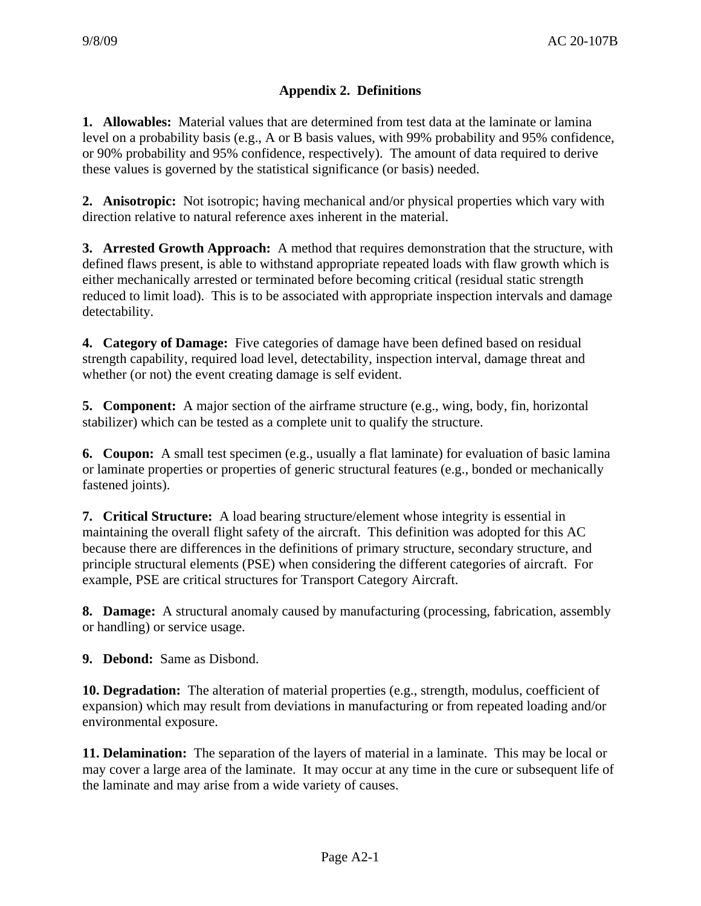# **Appendix 2. Definitions**

**1. Allowables:** Material values that are determined from test data at the laminate or lamina level on a probability basis (e.g., A or B basis values, with 99% probability and 95% confidence, or 90% probability and 95% confidence, respectively). The amount of data required to derive these values is governed by the statistical significance (or basis) needed.

**2. Anisotropic:** Not isotropic; having mechanical and/or physical properties which vary with direction relative to natural reference axes inherent in the material.

**3. Arrested Growth Approach:** A method that requires demonstration that the structure, with defined flaws present, is able to withstand appropriate repeated loads with flaw growth which is either mechanically arrested or terminated before becoming critical (residual static strength reduced to limit load). This is to be associated with appropriate inspection intervals and damage detectability.

**4. Category of Damage:** Five categories of damage have been defined based on residual strength capability, required load level, detectability, inspection interval, damage threat and whether (or not) the event creating damage is self evident.

**5. Component:** A major section of the airframe structure (e.g., wing, body, fin, horizontal stabilizer) which can be tested as a complete unit to qualify the structure.

**6. Coupon:** A small test specimen (e.g., usually a flat laminate) for evaluation of basic lamina or laminate properties or properties of generic structural features (e.g., bonded or mechanically fastened joints).

**7. Critical Structure:** A load bearing structure/element whose integrity is essential in maintaining the overall flight safety of the aircraft. This definition was adopted for this AC because there are differences in the definitions of primary structure, secondary structure, and principle structural elements (PSE) when considering the different categories of aircraft. For example, PSE are critical structures for Transport Category Aircraft.

**8. Damage:** A structural anomaly caused by manufacturing (processing, fabrication, assembly or handling) or service usage.

**9. Debond:** Same as Disbond.

**10. Degradation:** The alteration of material properties (e.g., strength, modulus, coefficient of expansion) which may result from deviations in manufacturing or from repeated loading and/or environmental exposure.

**11. Delamination:** The separation of the layers of material in a laminate. This may be local or may cover a large area of the laminate. It may occur at any time in the cure or subsequent life of the laminate and may arise from a wide variety of causes.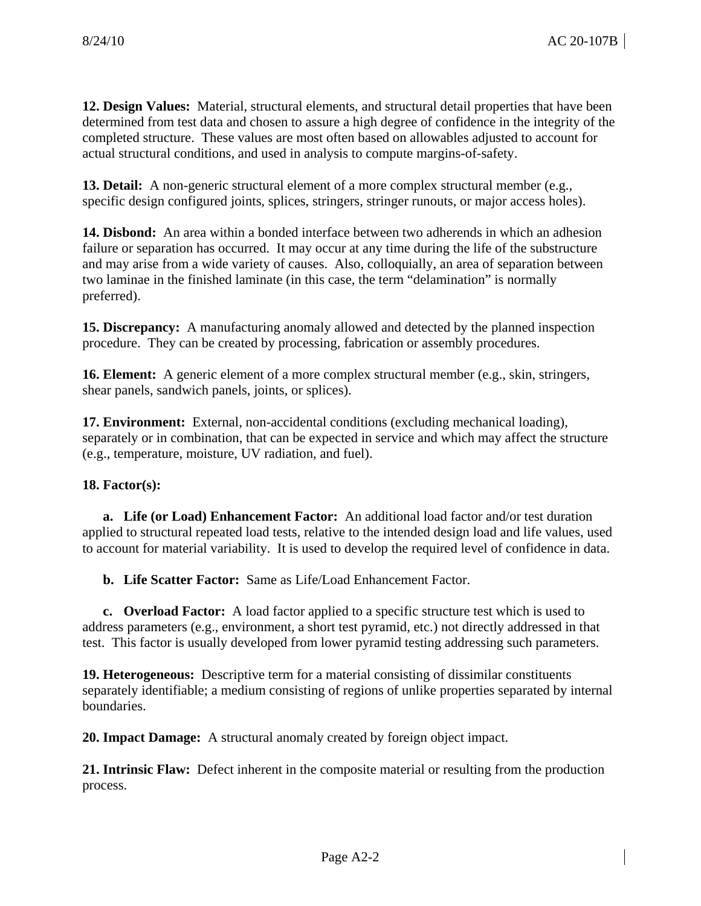**12. Design Values:** Material, structural elements, and structural detail properties that have been determined from test data and chosen to assure a high degree of confidence in the integrity of the completed structure. These values are most often based on allowables adjusted to account for actual structural conditions, and used in analysis to compute margins-of-safety.

**13. Detail:** A non-generic structural element of a more complex structural member (e.g., specific design configured joints, splices, stringers, stringer runouts, or major access holes).

**14. Disbond:** An area within a bonded interface between two adherends in which an adhesion failure or separation has occurred. It may occur at any time during the life of the substructure and may arise from a wide variety of causes. Also, colloquially, an area of separation between two laminae in the finished laminate (in this case, the term "delamination" is normally preferred).

**15. Discrepancy:** A manufacturing anomaly allowed and detected by the planned inspection procedure. They can be created by processing, fabrication or assembly procedures.

**16. Element:** A generic element of a more complex structural member (e.g., skin, stringers, shear panels, sandwich panels, joints, or splices).

**17. Environment:** External, non-accidental conditions (excluding mechanical loading), separately or in combination, that can be expected in service and which may affect the structure (e.g., temperature, moisture, UV radiation, and fuel).

# **18. Factor(s):**

 **a. Life (or Load) Enhancement Factor:** An additional load factor and/or test duration applied to structural repeated load tests, relative to the intended design load and life values, used to account for material variability. It is used to develop the required level of confidence in data.

**b. Life Scatter Factor:** Same as Life/Load Enhancement Factor.

 **c. Overload Factor:** A load factor applied to a specific structure test which is used to address parameters (e.g., environment, a short test pyramid, etc.) not directly addressed in that test. This factor is usually developed from lower pyramid testing addressing such parameters.

**19. Heterogeneous:** Descriptive term for a material consisting of dissimilar constituents separately identifiable; a medium consisting of regions of unlike properties separated by internal boundaries.

**20. Impact Damage:** A structural anomaly created by foreign object impact.

**21. Intrinsic Flaw:** Defect inherent in the composite material or resulting from the production process.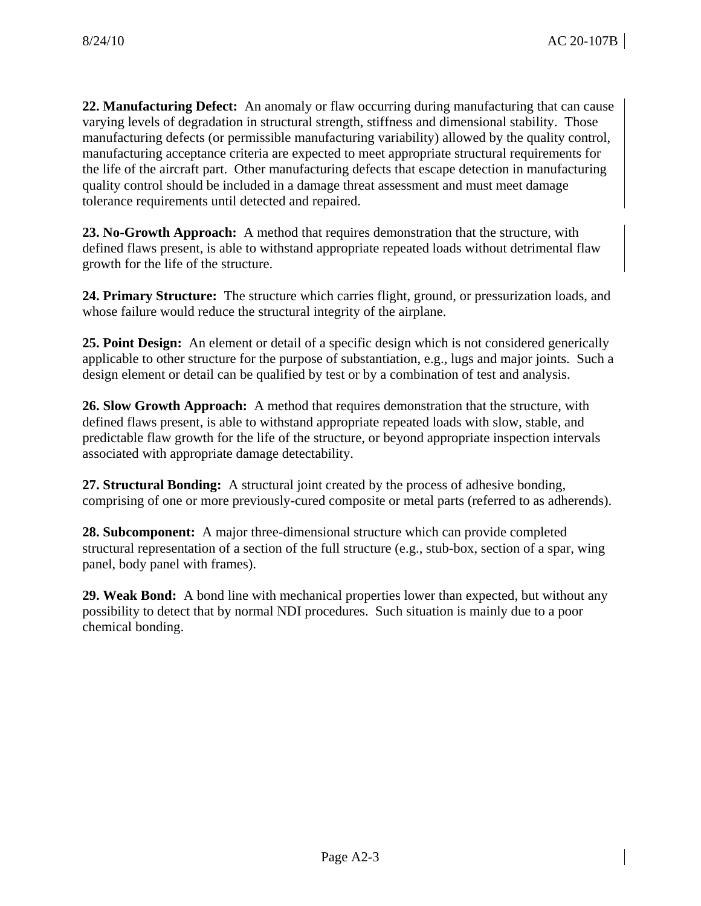**22. Manufacturing Defect:** An anomaly or flaw occurring during manufacturing that can cause varying levels of degradation in structural strength, stiffness and dimensional stability. Those manufacturing defects (or permissible manufacturing variability) allowed by the quality control, manufacturing acceptance criteria are expected to meet appropriate structural requirements for the life of the aircraft part. Other manufacturing defects that escape detection in manufacturing quality control should be included in a damage threat assessment and must meet damage tolerance requirements until detected and repaired.

**23. No-Growth Approach:** A method that requires demonstration that the structure, with defined flaws present, is able to withstand appropriate repeated loads without detrimental flaw growth for the life of the structure.

**24. Primary Structure:** The structure which carries flight, ground, or pressurization loads, and whose failure would reduce the structural integrity of the airplane.

**25. Point Design:** An element or detail of a specific design which is not considered generically applicable to other structure for the purpose of substantiation, e.g., lugs and major joints. Such a design element or detail can be qualified by test or by a combination of test and analysis.

**26. Slow Growth Approach:** A method that requires demonstration that the structure, with defined flaws present, is able to withstand appropriate repeated loads with slow, stable, and predictable flaw growth for the life of the structure, or beyond appropriate inspection intervals associated with appropriate damage detectability.

**27. Structural Bonding:** A structural joint created by the process of adhesive bonding, comprising of one or more previously-cured composite or metal parts (referred to as adherends).

**28. Subcomponent:** A major three-dimensional structure which can provide completed structural representation of a section of the full structure (e.g., stub-box, section of a spar, wing panel, body panel with frames).

**29. Weak Bond:** A bond line with mechanical properties lower than expected, but without any possibility to detect that by normal NDI procedures. Such situation is mainly due to a poor chemical bonding.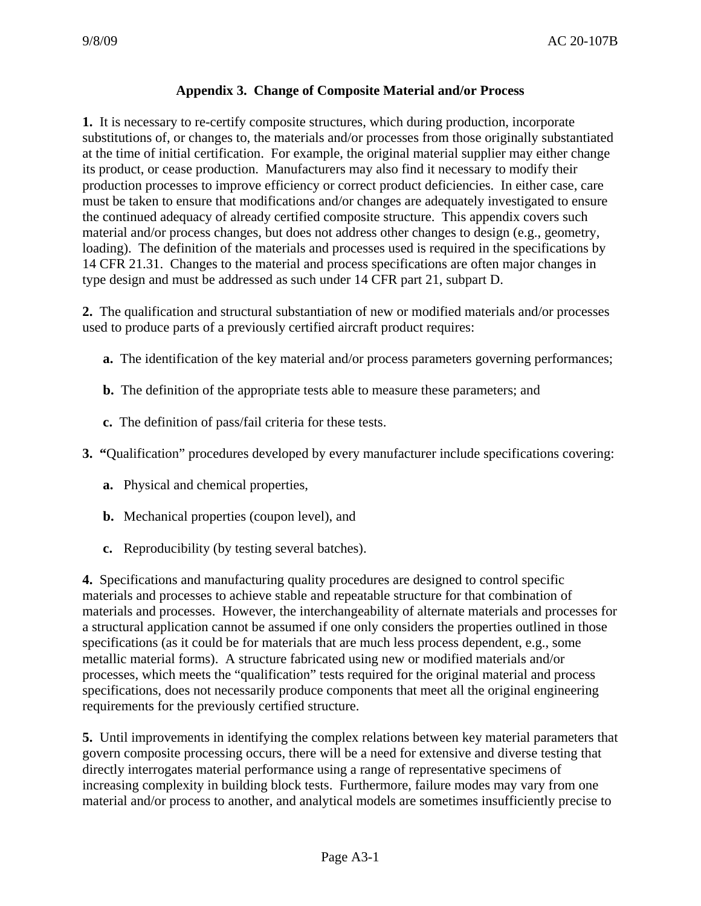# **Appendix 3. Change of Composite Material and/or Process**

**1.** It is necessary to re-certify composite structures, which during production, incorporate substitutions of, or changes to, the materials and/or processes from those originally substantiated at the time of initial certification. For example, the original material supplier may either change its product, or cease production. Manufacturers may also find it necessary to modify their production processes to improve efficiency or correct product deficiencies. In either case, care must be taken to ensure that modifications and/or changes are adequately investigated to ensure the continued adequacy of already certified composite structure. This appendix covers such material and/or process changes, but does not address other changes to design (e.g., geometry, loading). The definition of the materials and processes used is required in the specifications by 14 CFR 21.31. Changes to the material and process specifications are often major changes in type design and must be addressed as such under 14 CFR part 21, subpart D.

**2.** The qualification and structural substantiation of new or modified materials and/or processes used to produce parts of a previously certified aircraft product requires:

- **a.** The identification of the key material and/or process parameters governing performances;
- **b.** The definition of the appropriate tests able to measure these parameters; and
- **c.** The definition of pass/fail criteria for these tests.
- **3. "**Qualification" procedures developed by every manufacturer include specifications covering:
	- **a.** Physical and chemical properties,
	- **b.** Mechanical properties (coupon level), and
	- **c.** Reproducibility (by testing several batches).

**4.** Specifications and manufacturing quality procedures are designed to control specific materials and processes to achieve stable and repeatable structure for that combination of materials and processes. However, the interchangeability of alternate materials and processes for a structural application cannot be assumed if one only considers the properties outlined in those specifications (as it could be for materials that are much less process dependent, e.g., some metallic material forms). A structure fabricated using new or modified materials and/or processes, which meets the "qualification" tests required for the original material and process specifications, does not necessarily produce components that meet all the original engineering requirements for the previously certified structure.

**5.** Until improvements in identifying the complex relations between key material parameters that govern composite processing occurs, there will be a need for extensive and diverse testing that directly interrogates material performance using a range of representative specimens of increasing complexity in building block tests. Furthermore, failure modes may vary from one material and/or process to another, and analytical models are sometimes insufficiently precise to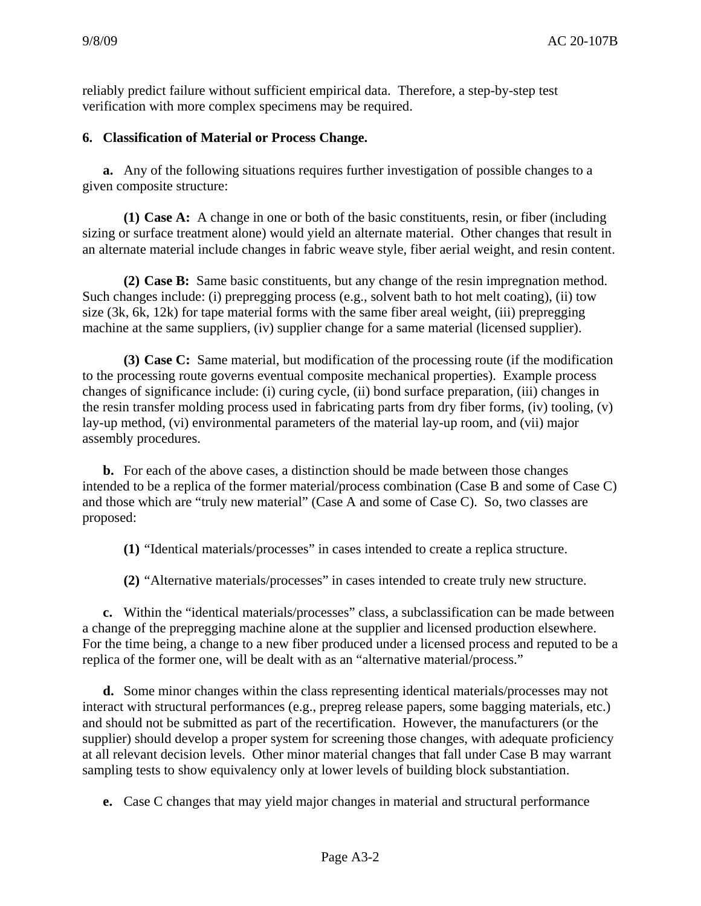reliably predict failure without sufficient empirical data. Therefore, a step-by-step test verification with more complex specimens may be required.

#### **6. Classification of Material or Process Change.**

**a.** Any of the following situations requires further investigation of possible changes to a given composite structure:

**(1) Case A:** A change in one or both of the basic constituents, resin, or fiber (including sizing or surface treatment alone) would yield an alternate material. Other changes that result in an alternate material include changes in fabric weave style, fiber aerial weight, and resin content.

**(2) Case B:** Same basic constituents, but any change of the resin impregnation method. Such changes include: (i) prepregging process (e.g., solvent bath to hot melt coating), (ii) tow size (3k, 6k, 12k) for tape material forms with the same fiber areal weight, (iii) prepregging machine at the same suppliers, (iv) supplier change for a same material (licensed supplier).

**(3) Case C:** Same material, but modification of the processing route (if the modification to the processing route governs eventual composite mechanical properties). Example process changes of significance include: (i) curing cycle, (ii) bond surface preparation, (iii) changes in the resin transfer molding process used in fabricating parts from dry fiber forms, (iv) tooling, (v) lay-up method, (vi) environmental parameters of the material lay-up room, and (vii) major assembly procedures.

**b.** For each of the above cases, a distinction should be made between those changes intended to be a replica of the former material/process combination (Case B and some of Case C) and those which are "truly new material" (Case A and some of Case C). So, two classes are proposed:

**(1)** "Identical materials/processes" in cases intended to create a replica structure.

**(2)** "Alternative materials/processes" in cases intended to create truly new structure.

**c.** Within the "identical materials/processes" class, a subclassification can be made between a change of the prepregging machine alone at the supplier and licensed production elsewhere. For the time being, a change to a new fiber produced under a licensed process and reputed to be a replica of the former one, will be dealt with as an "alternative material/process."

**d.** Some minor changes within the class representing identical materials/processes may not interact with structural performances (e.g., prepreg release papers, some bagging materials, etc.) and should not be submitted as part of the recertification. However, the manufacturers (or the supplier) should develop a proper system for screening those changes, with adequate proficiency at all relevant decision levels. Other minor material changes that fall under Case B may warrant sampling tests to show equivalency only at lower levels of building block substantiation.

**e.** Case C changes that may yield major changes in material and structural performance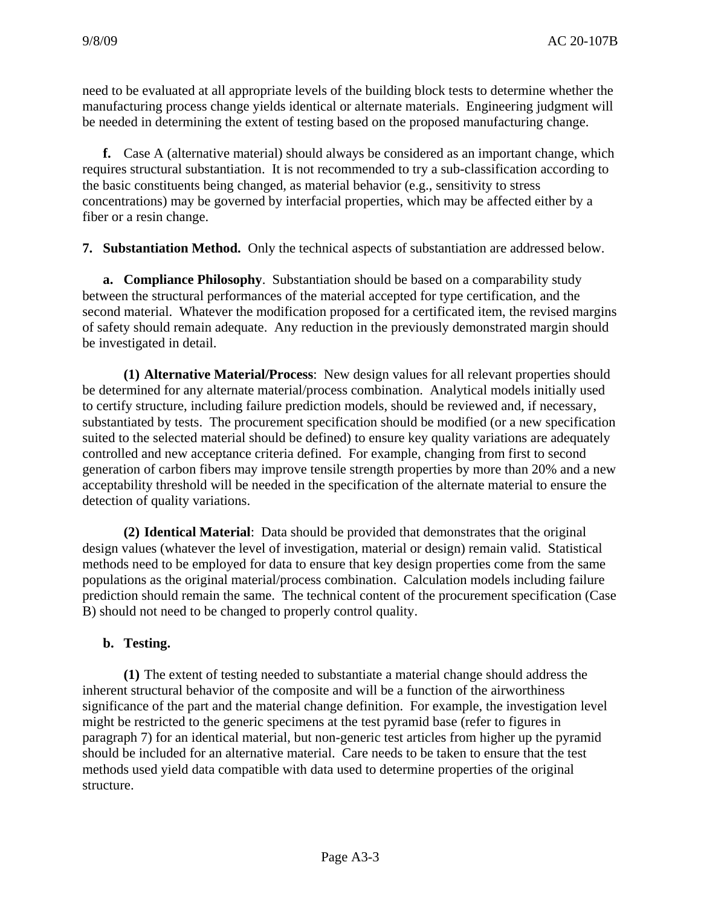need to be evaluated at all appropriate levels of the building block tests to determine whether the manufacturing process change yields identical or alternate materials. Engineering judgment will be needed in determining the extent of testing based on the proposed manufacturing change.

**f.** Case A (alternative material) should always be considered as an important change, which requires structural substantiation. It is not recommended to try a sub-classification according to the basic constituents being changed, as material behavior (e.g., sensitivity to stress concentrations) may be governed by interfacial properties, which may be affected either by a fiber or a resin change.

**7. Substantiation Method.** Only the technical aspects of substantiation are addressed below.

**a. Compliance Philosophy**. Substantiation should be based on a comparability study between the structural performances of the material accepted for type certification, and the second material. Whatever the modification proposed for a certificated item, the revised margins of safety should remain adequate. Any reduction in the previously demonstrated margin should be investigated in detail.

 **(1) Alternative Material/Process**: New design values for all relevant properties should be determined for any alternate material/process combination. Analytical models initially used to certify structure, including failure prediction models, should be reviewed and, if necessary, substantiated by tests. The procurement specification should be modified (or a new specification suited to the selected material should be defined) to ensure key quality variations are adequately controlled and new acceptance criteria defined. For example, changing from first to second generation of carbon fibers may improve tensile strength properties by more than 20% and a new acceptability threshold will be needed in the specification of the alternate material to ensure the detection of quality variations.

**(2) Identical Material**: Data should be provided that demonstrates that the original design values (whatever the level of investigation, material or design) remain valid. Statistical methods need to be employed for data to ensure that key design properties come from the same populations as the original material/process combination. Calculation models including failure prediction should remain the same. The technical content of the procurement specification (Case B) should not need to be changed to properly control quality.

#### **b. Testing.**

**(1)** The extent of testing needed to substantiate a material change should address the inherent structural behavior of the composite and will be a function of the airworthiness significance of the part and the material change definition. For example, the investigation level might be restricted to the generic specimens at the test pyramid base (refer to figures in paragraph 7) for an identical material, but non-generic test articles from higher up the pyramid should be included for an alternative material. Care needs to be taken to ensure that the test methods used yield data compatible with data used to determine properties of the original structure.